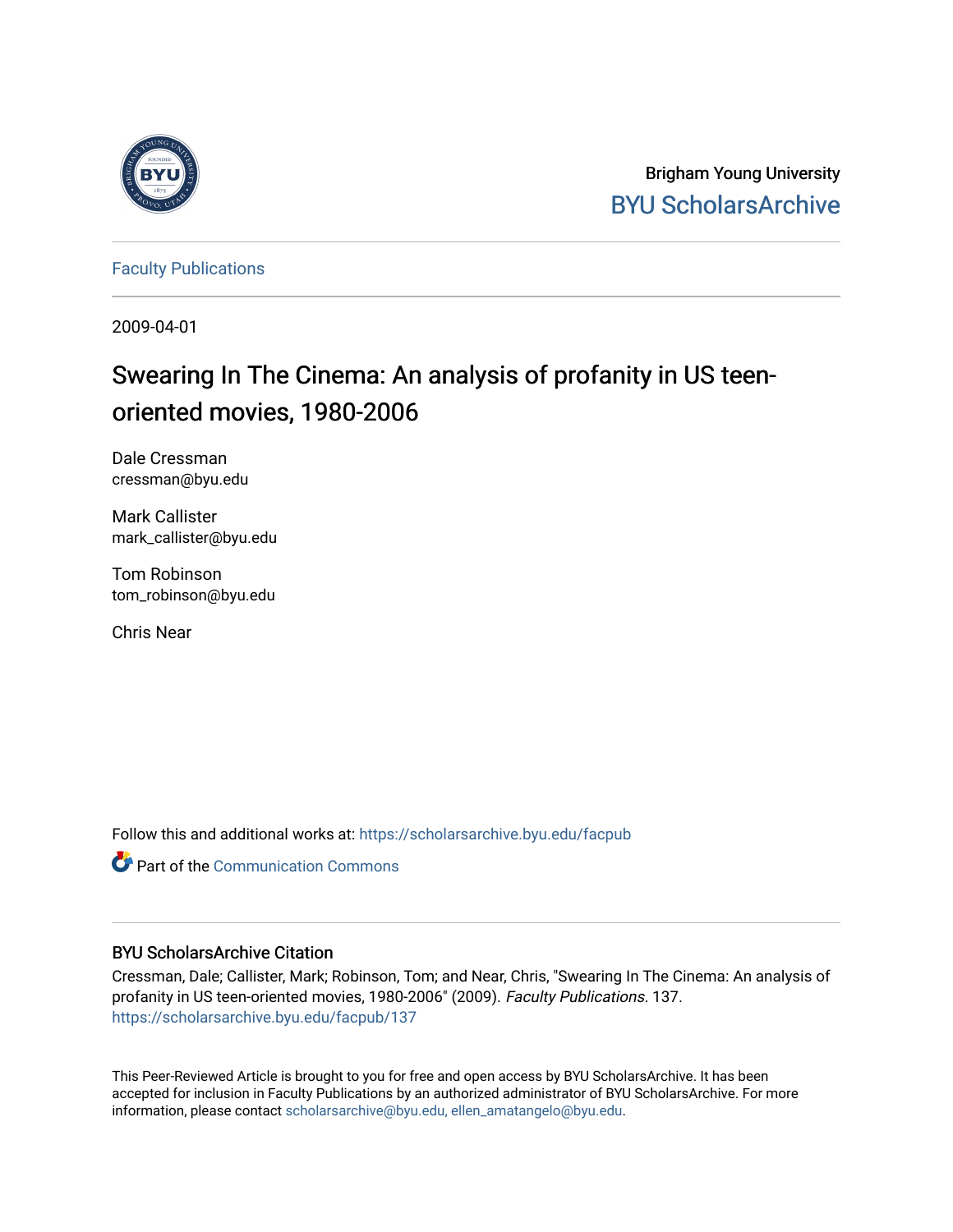

Brigham Young University [BYU ScholarsArchive](https://scholarsarchive.byu.edu/) 

[Faculty Publications](https://scholarsarchive.byu.edu/facpub)

2009-04-01

# Swearing In The Cinema: An analysis of profanity in US teenoriented movies, 1980-2006

Dale Cressman cressman@byu.edu

Mark Callister mark\_callister@byu.edu

Tom Robinson tom\_robinson@byu.edu

Chris Near

Follow this and additional works at: [https://scholarsarchive.byu.edu/facpub](https://scholarsarchive.byu.edu/facpub?utm_source=scholarsarchive.byu.edu%2Ffacpub%2F137&utm_medium=PDF&utm_campaign=PDFCoverPages) 

**C** Part of the Communication Commons

## BYU ScholarsArchive Citation

Cressman, Dale; Callister, Mark; Robinson, Tom; and Near, Chris, "Swearing In The Cinema: An analysis of profanity in US teen-oriented movies, 1980-2006" (2009). Faculty Publications. 137. [https://scholarsarchive.byu.edu/facpub/137](https://scholarsarchive.byu.edu/facpub/137?utm_source=scholarsarchive.byu.edu%2Ffacpub%2F137&utm_medium=PDF&utm_campaign=PDFCoverPages) 

This Peer-Reviewed Article is brought to you for free and open access by BYU ScholarsArchive. It has been accepted for inclusion in Faculty Publications by an authorized administrator of BYU ScholarsArchive. For more information, please contact [scholarsarchive@byu.edu, ellen\\_amatangelo@byu.edu.](mailto:scholarsarchive@byu.edu,%20ellen_amatangelo@byu.edu)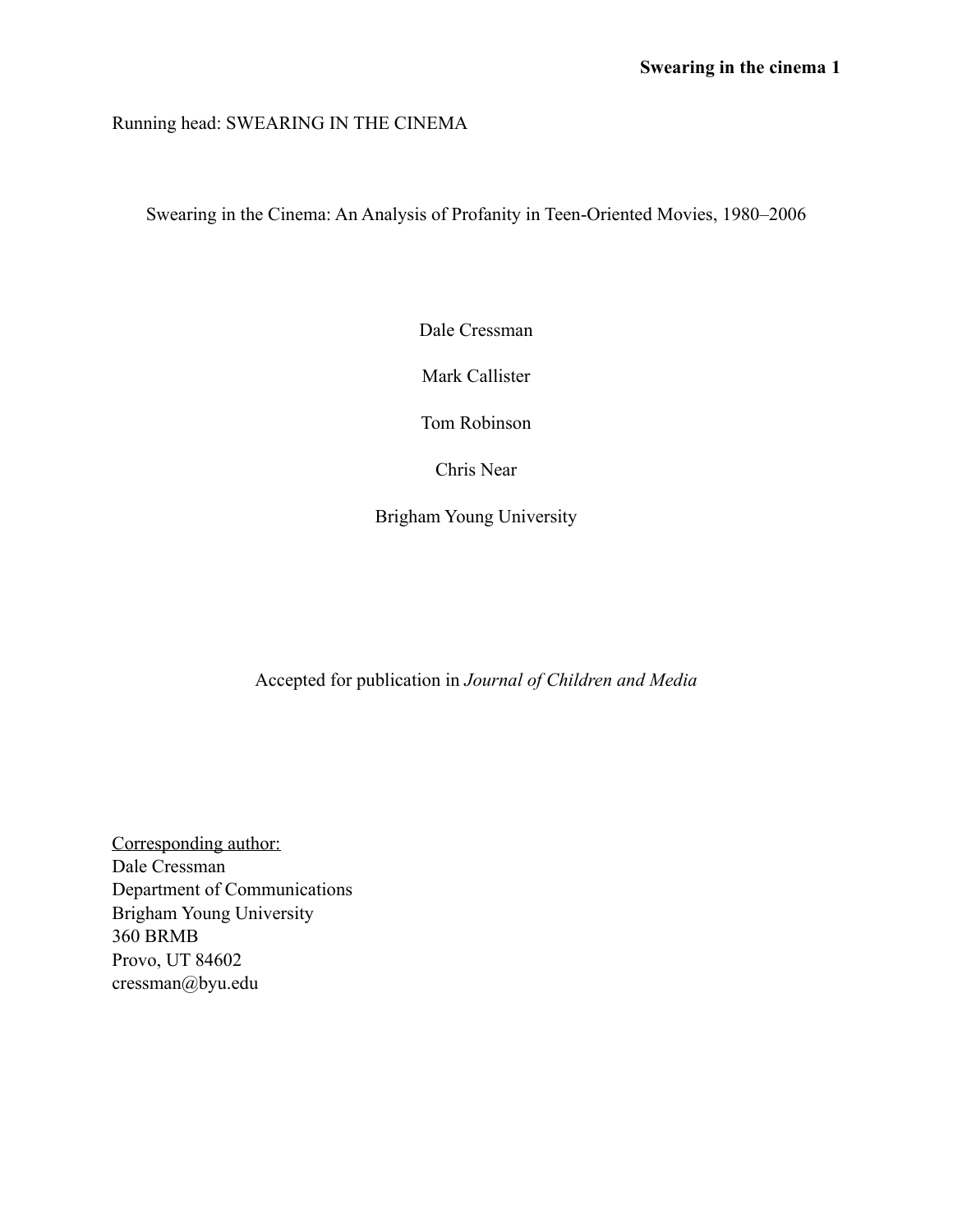## Running head: SWEARING IN THE CINEMA

Swearing in the Cinema: An Analysis of Profanity in Teen-Oriented Movies, 1980–2006

Dale Cressman

Mark Callister

Tom Robinson

Chris Near

Brigham Young University

Accepted for publication in *Journal of Children and Media*

Corresponding author: Dale Cressman Department of Communications Brigham Young University 360 BRMB Provo, UT 84602 cressman@byu.edu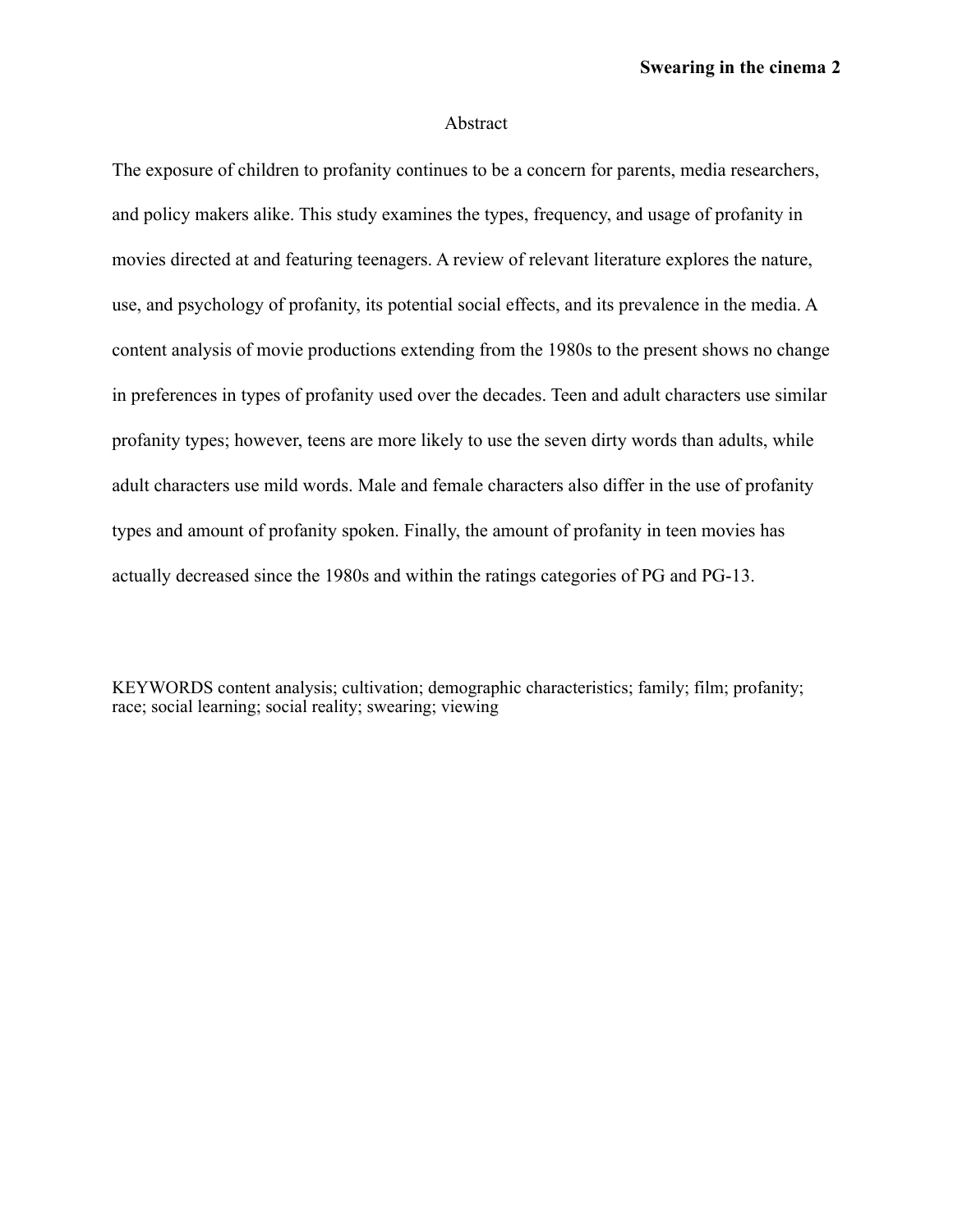### Abstract

The exposure of children to profanity continues to be a concern for parents, media researchers, and policy makers alike. This study examines the types, frequency, and usage of profanity in movies directed at and featuring teenagers. A review of relevant literature explores the nature, use, and psychology of profanity, its potential social effects, and its prevalence in the media. A content analysis of movie productions extending from the 1980s to the present shows no change in preferences in types of profanity used over the decades. Teen and adult characters use similar profanity types; however, teens are more likely to use the seven dirty words than adults, while adult characters use mild words. Male and female characters also differ in the use of profanity types and amount of profanity spoken. Finally, the amount of profanity in teen movies has actually decreased since the 1980s and within the ratings categories of PG and PG-13.

KEYWORDS content analysis; cultivation; demographic characteristics; family; film; profanity; race; social learning; social reality; swearing; viewing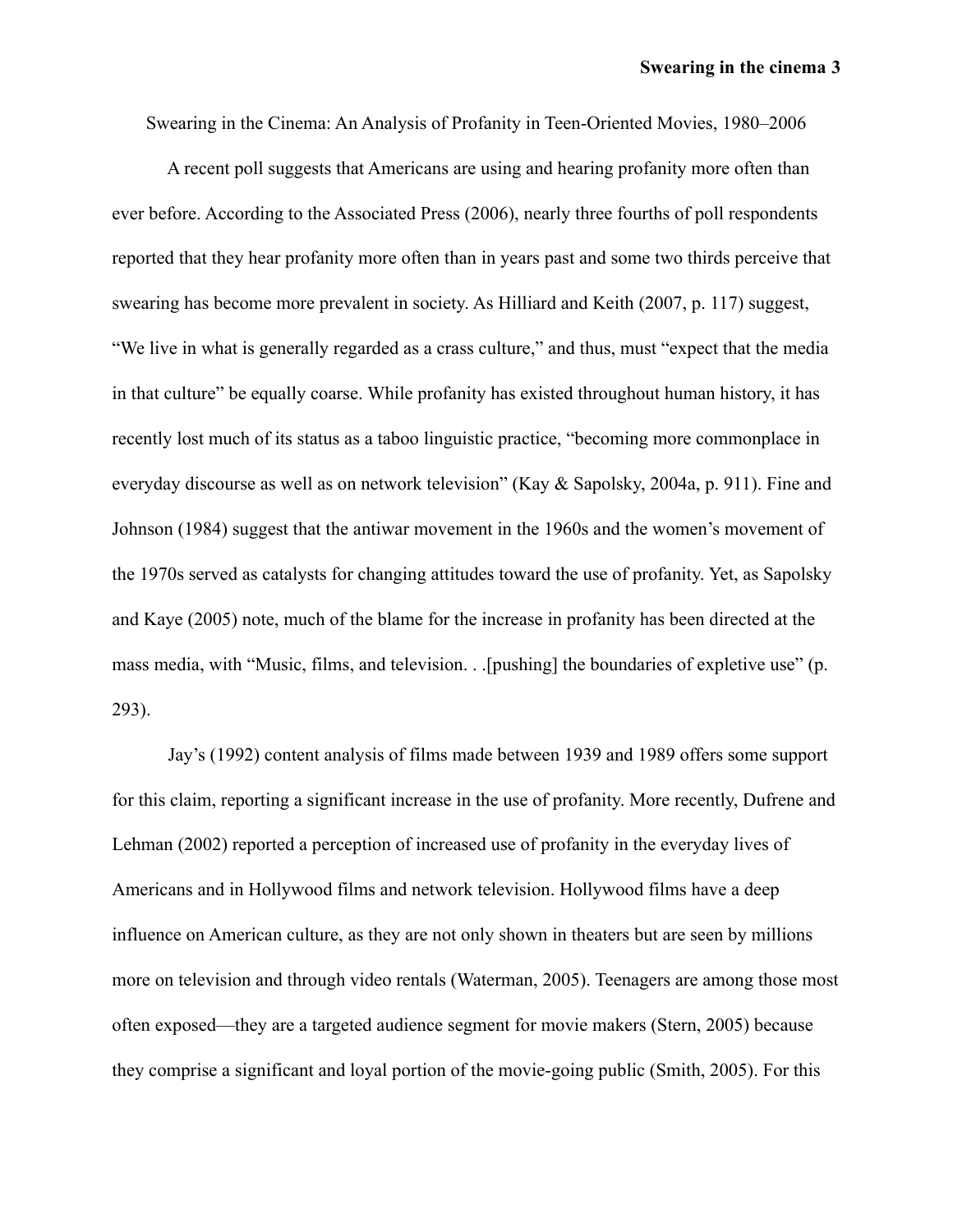Swearing in the Cinema: An Analysis of Profanity in Teen-Oriented Movies, 1980–2006

 A recent poll suggests that Americans are using and hearing profanity more often than ever before. According to the Associated Press (2006), nearly three fourths of poll respondents reported that they hear profanity more often than in years past and some two thirds perceive that swearing has become more prevalent in society. As Hilliard and Keith (2007, p. 117) suggest, "We live in what is generally regarded as a crass culture," and thus, must "expect that the media in that culture" be equally coarse. While profanity has existed throughout human history, it has recently lost much of its status as a taboo linguistic practice, "becoming more commonplace in everyday discourse as well as on network television" (Kay & Sapolsky, 2004a, p. 911). Fine and Johnson (1984) suggest that the antiwar movement in the 1960s and the women's movement of the 1970s served as catalysts for changing attitudes toward the use of profanity. Yet, as Sapolsky and Kaye (2005) note, much of the blame for the increase in profanity has been directed at the mass media, with "Music, films, and television. . .[pushing] the boundaries of expletive use" (p. 293).

 Jay's (1992) content analysis of films made between 1939 and 1989 offers some support for this claim, reporting a significant increase in the use of profanity. More recently, Dufrene and Lehman (2002) reported a perception of increased use of profanity in the everyday lives of Americans and in Hollywood films and network television. Hollywood films have a deep influence on American culture, as they are not only shown in theaters but are seen by millions more on television and through video rentals (Waterman, 2005). Teenagers are among those most often exposed—they are a targeted audience segment for movie makers (Stern, 2005) because they comprise a significant and loyal portion of the movie-going public (Smith, 2005). For this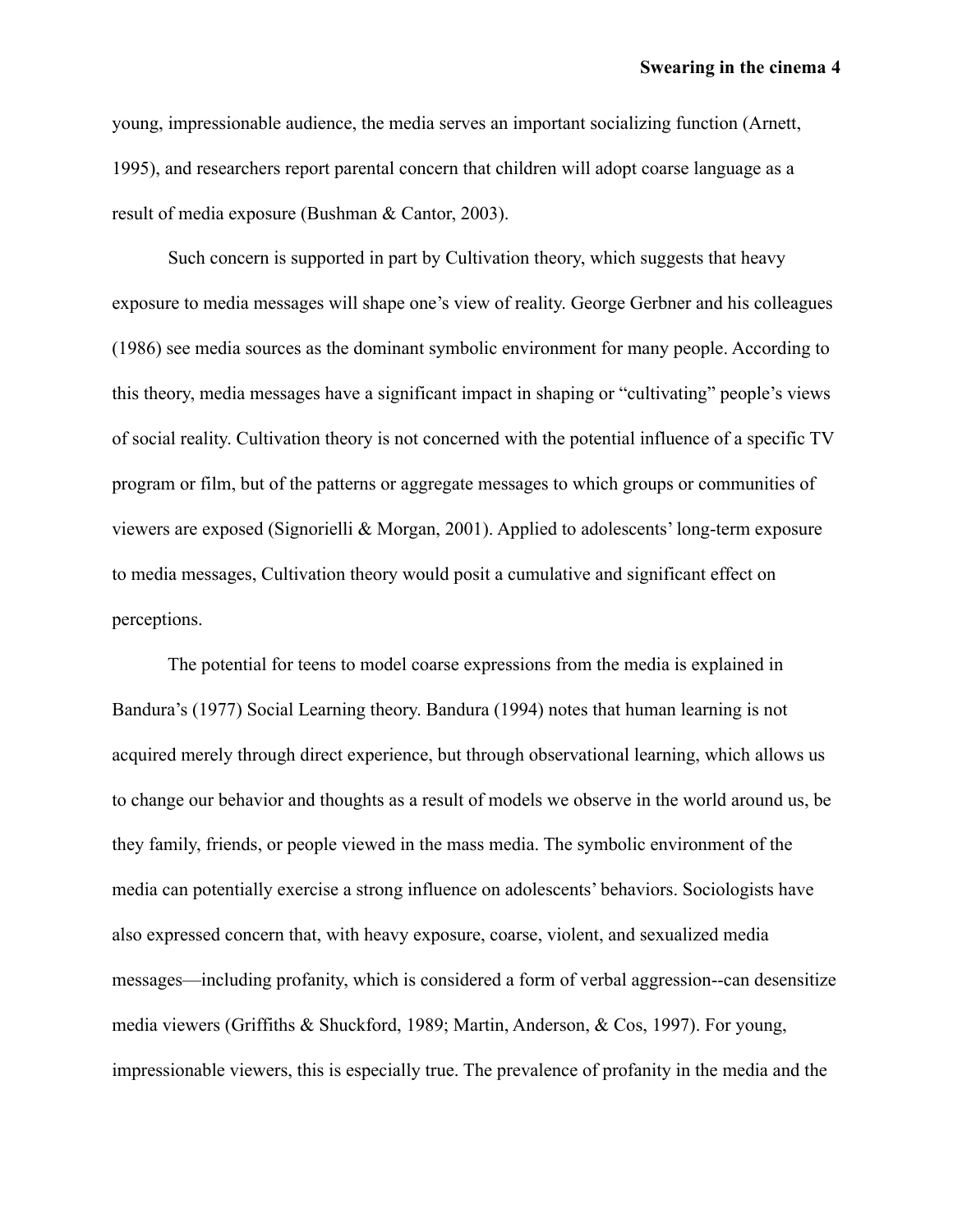young, impressionable audience, the media serves an important socializing function (Arnett, 1995), and researchers report parental concern that children will adopt coarse language as a result of media exposure (Bushman & Cantor, 2003).

 Such concern is supported in part by Cultivation theory, which suggests that heavy exposure to media messages will shape one's view of reality. George Gerbner and his colleagues (1986) see media sources as the dominant symbolic environment for many people. According to this theory, media messages have a significant impact in shaping or "cultivating" people's views of social reality. Cultivation theory is not concerned with the potential influence of a specific TV program or film, but of the patterns or aggregate messages to which groups or communities of viewers are exposed (Signorielli & Morgan, 2001). Applied to adolescents' long-term exposure to media messages, Cultivation theory would posit a cumulative and significant effect on perceptions.

 The potential for teens to model coarse expressions from the media is explained in Bandura's (1977) Social Learning theory. Bandura (1994) notes that human learning is not acquired merely through direct experience, but through observational learning, which allows us to change our behavior and thoughts as a result of models we observe in the world around us, be they family, friends, or people viewed in the mass media. The symbolic environment of the media can potentially exercise a strong influence on adolescents' behaviors. Sociologists have also expressed concern that, with heavy exposure, coarse, violent, and sexualized media messages—including profanity, which is considered a form of verbal aggression--can desensitize media viewers (Griffiths & Shuckford, 1989; Martin, Anderson, & Cos, 1997). For young, impressionable viewers, this is especially true. The prevalence of profanity in the media and the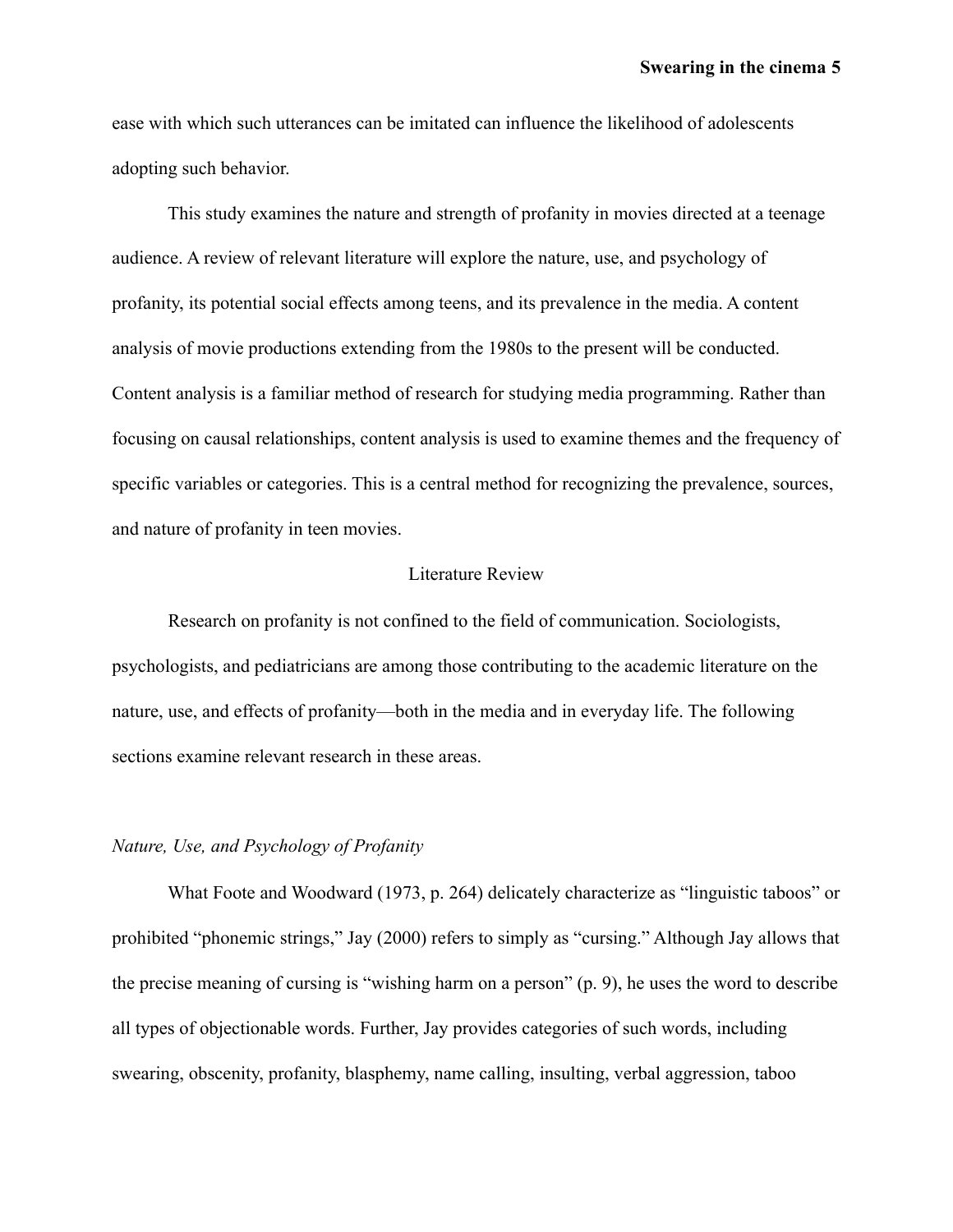ease with which such utterances can be imitated can influence the likelihood of adolescents adopting such behavior.

 This study examines the nature and strength of profanity in movies directed at a teenage audience. A review of relevant literature will explore the nature, use, and psychology of profanity, its potential social effects among teens, and its prevalence in the media. A content analysis of movie productions extending from the 1980s to the present will be conducted. Content analysis is a familiar method of research for studying media programming. Rather than focusing on causal relationships, content analysis is used to examine themes and the frequency of specific variables or categories. This is a central method for recognizing the prevalence, sources, and nature of profanity in teen movies.

## Literature Review

 Research on profanity is not confined to the field of communication. Sociologists, psychologists, and pediatricians are among those contributing to the academic literature on the nature, use, and effects of profanity—both in the media and in everyday life. The following sections examine relevant research in these areas.

## *Nature, Use, and Psychology of Profanity*

 What Foote and Woodward (1973, p. 264) delicately characterize as "linguistic taboos" or prohibited "phonemic strings," Jay (2000) refers to simply as "cursing." Although Jay allows that the precise meaning of cursing is "wishing harm on a person" (p. 9), he uses the word to describe all types of objectionable words. Further, Jay provides categories of such words, including swearing, obscenity, profanity, blasphemy, name calling, insulting, verbal aggression, taboo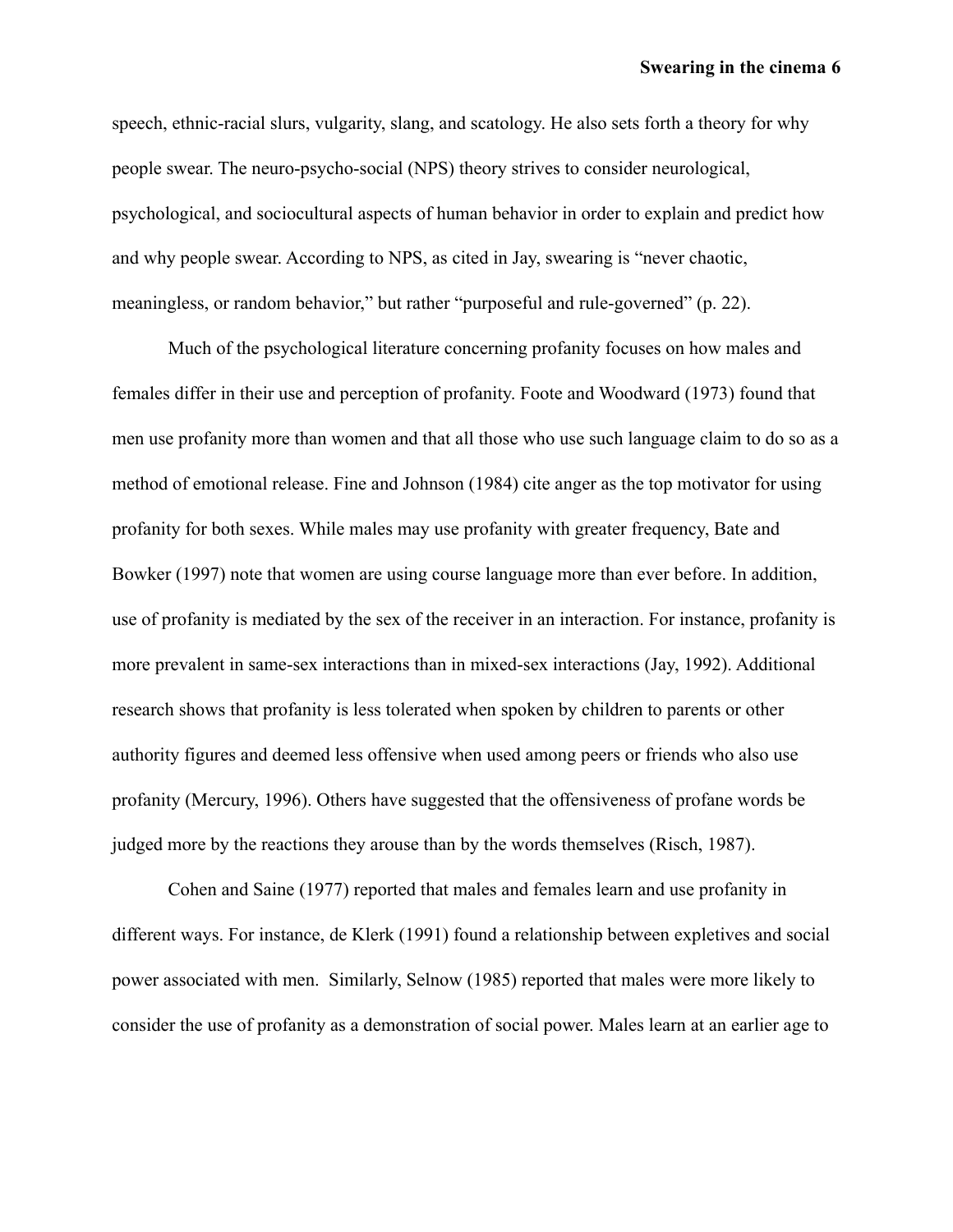speech, ethnic-racial slurs, vulgarity, slang, and scatology. He also sets forth a theory for why people swear. The neuro-psycho-social (NPS) theory strives to consider neurological, psychological, and sociocultural aspects of human behavior in order to explain and predict how and why people swear. According to NPS, as cited in Jay, swearing is "never chaotic, meaningless, or random behavior," but rather "purposeful and rule-governed" (p. 22).

 Much of the psychological literature concerning profanity focuses on how males and females differ in their use and perception of profanity. Foote and Woodward (1973) found that men use profanity more than women and that all those who use such language claim to do so as a method of emotional release. Fine and Johnson (1984) cite anger as the top motivator for using profanity for both sexes. While males may use profanity with greater frequency, Bate and Bowker (1997) note that women are using course language more than ever before. In addition, use of profanity is mediated by the sex of the receiver in an interaction. For instance, profanity is more prevalent in same-sex interactions than in mixed-sex interactions (Jay, 1992). Additional research shows that profanity is less tolerated when spoken by children to parents or other authority figures and deemed less offensive when used among peers or friends who also use profanity (Mercury, 1996). Others have suggested that the offensiveness of profane words be judged more by the reactions they arouse than by the words themselves (Risch, 1987).

 Cohen and Saine (1977) reported that males and females learn and use profanity in different ways. For instance, de Klerk (1991) found a relationship between expletives and social power associated with men. Similarly, Selnow (1985) reported that males were more likely to consider the use of profanity as a demonstration of social power. Males learn at an earlier age to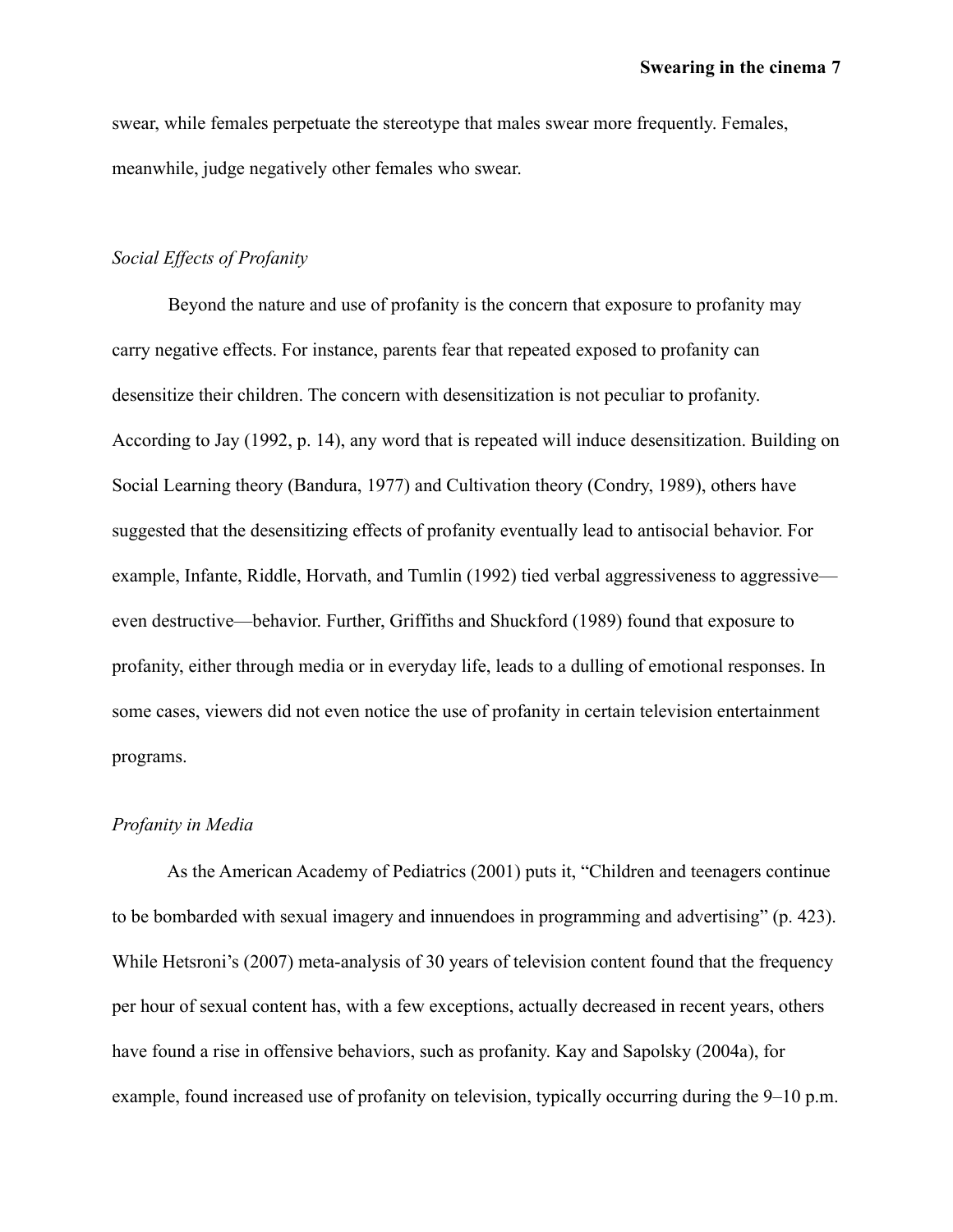swear, while females perpetuate the stereotype that males swear more frequently. Females, meanwhile, judge negatively other females who swear.

## *Social Effects of Profanity*

 Beyond the nature and use of profanity is the concern that exposure to profanity may carry negative effects. For instance, parents fear that repeated exposed to profanity can desensitize their children. The concern with desensitization is not peculiar to profanity. According to Jay (1992, p. 14), any word that is repeated will induce desensitization. Building on Social Learning theory (Bandura, 1977) and Cultivation theory (Condry, 1989), others have suggested that the desensitizing effects of profanity eventually lead to antisocial behavior. For example, Infante, Riddle, Horvath, and Tumlin (1992) tied verbal aggressiveness to aggressive even destructive—behavior. Further, Griffiths and Shuckford (1989) found that exposure to profanity, either through media or in everyday life, leads to a dulling of emotional responses. In some cases, viewers did not even notice the use of profanity in certain television entertainment programs.

#### *Profanity in Media*

 As the American Academy of Pediatrics (2001) puts it, "Children and teenagers continue to be bombarded with sexual imagery and innuendoes in programming and advertising" (p. 423). While Hetsroni's (2007) meta-analysis of 30 years of television content found that the frequency per hour of sexual content has, with a few exceptions, actually decreased in recent years, others have found a rise in offensive behaviors, such as profanity. Kay and Sapolsky (2004a), for example, found increased use of profanity on television, typically occurring during the 9–10 p.m.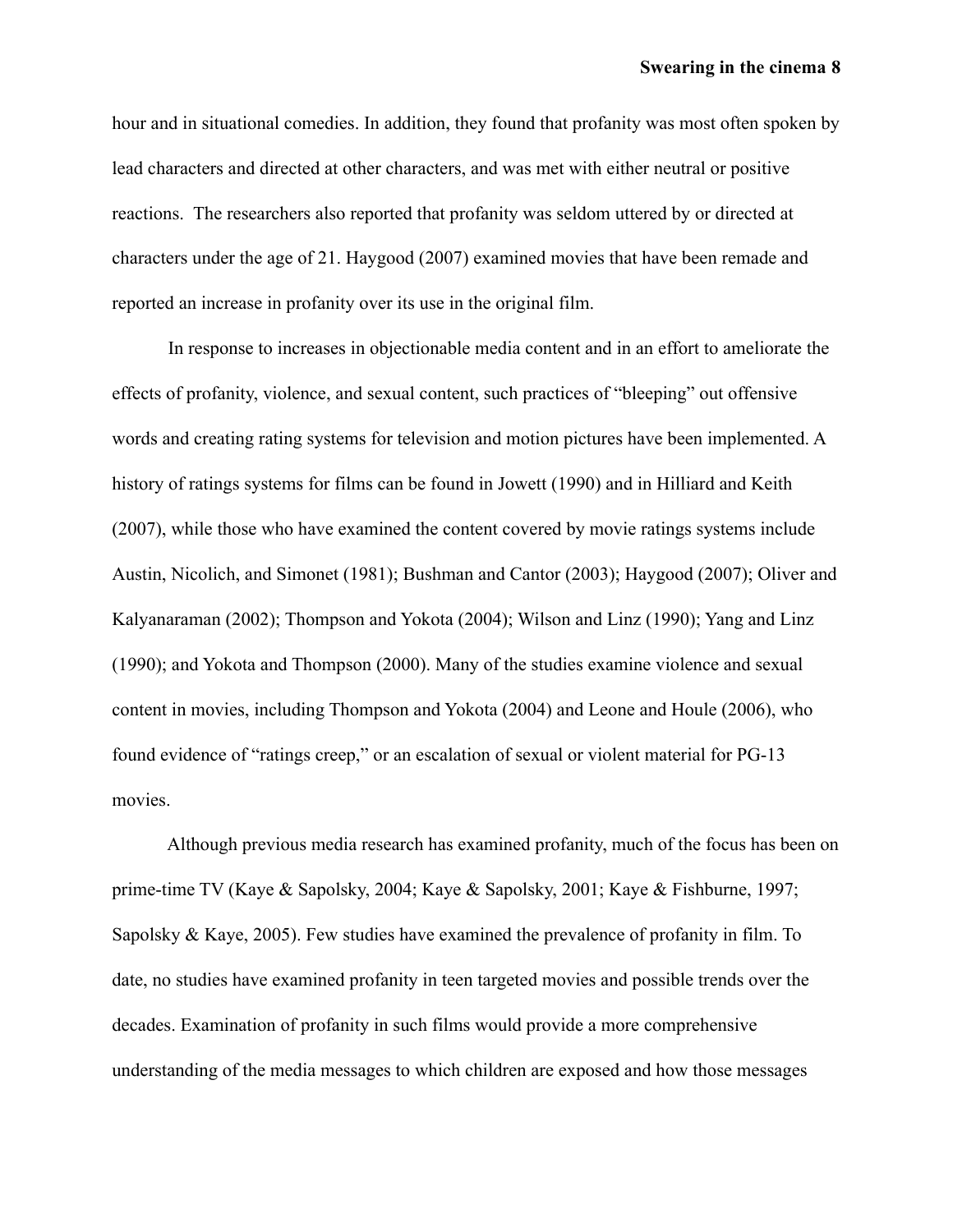hour and in situational comedies. In addition, they found that profanity was most often spoken by lead characters and directed at other characters, and was met with either neutral or positive reactions. The researchers also reported that profanity was seldom uttered by or directed at characters under the age of 21. Haygood (2007) examined movies that have been remade and reported an increase in profanity over its use in the original film.

 In response to increases in objectionable media content and in an effort to ameliorate the effects of profanity, violence, and sexual content, such practices of "bleeping" out offensive words and creating rating systems for television and motion pictures have been implemented. A history of ratings systems for films can be found in Jowett (1990) and in Hilliard and Keith (2007), while those who have examined the content covered by movie ratings systems include Austin, Nicolich, and Simonet (1981); Bushman and Cantor (2003); Haygood (2007); Oliver and Kalyanaraman (2002); Thompson and Yokota (2004); Wilson and Linz (1990); Yang and Linz (1990); and Yokota and Thompson (2000). Many of the studies examine violence and sexual content in movies, including Thompson and Yokota (2004) and Leone and Houle (2006), who found evidence of "ratings creep," or an escalation of sexual or violent material for PG-13 movies.

 Although previous media research has examined profanity, much of the focus has been on prime-time TV (Kaye & Sapolsky, 2004; Kaye & Sapolsky, 2001; Kaye & Fishburne, 1997; Sapolsky & Kaye, 2005). Few studies have examined the prevalence of profanity in film. To date, no studies have examined profanity in teen targeted movies and possible trends over the decades. Examination of profanity in such films would provide a more comprehensive understanding of the media messages to which children are exposed and how those messages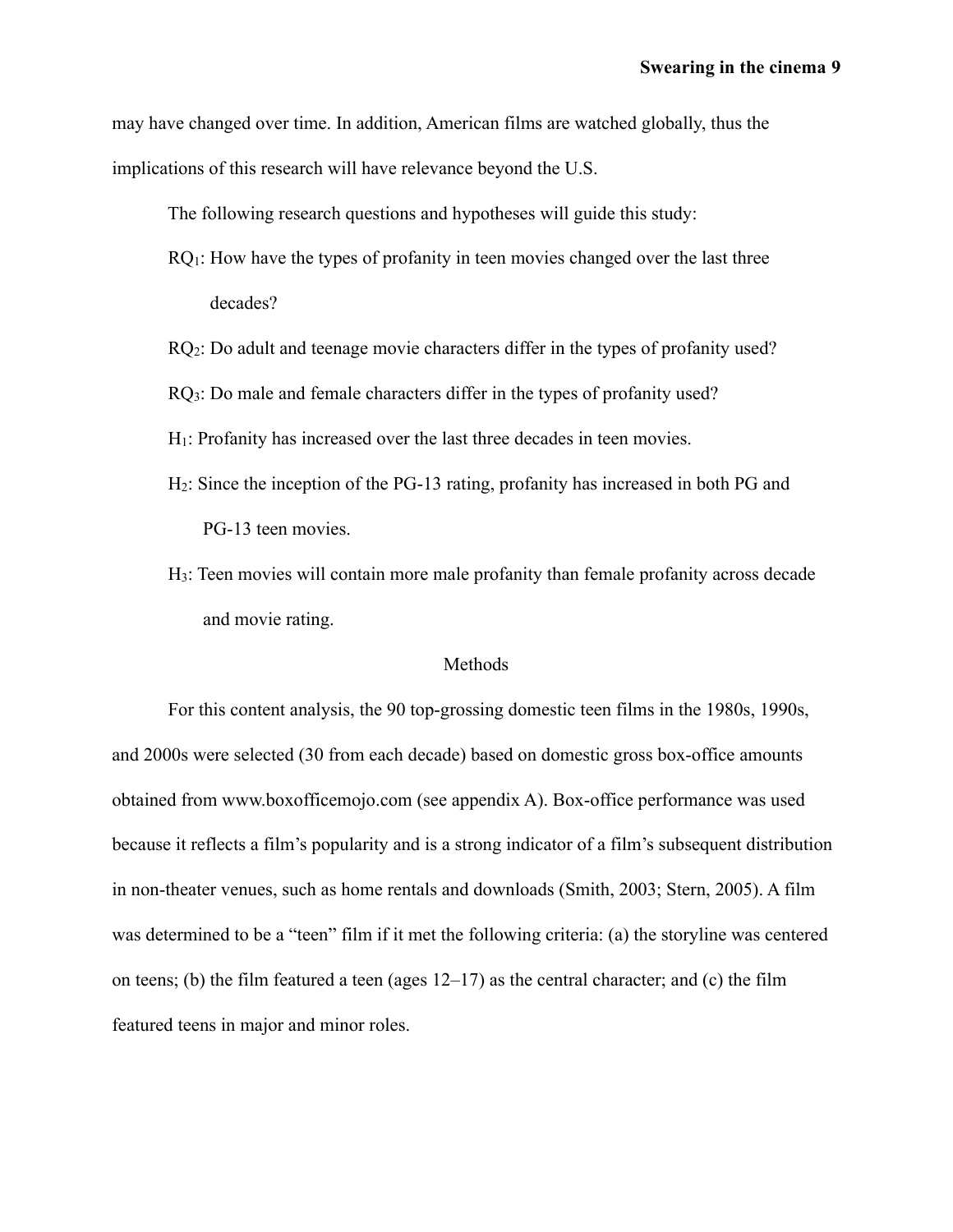may have changed over time. In addition, American films are watched globally, thus the implications of this research will have relevance beyond the U.S.

The following research questions and hypotheses will guide this study:

- RQ<sub>1</sub>: How have the types of profanity in teen movies changed over the last three decades?
- RQ<sub>2</sub>: Do adult and teenage movie characters differ in the types of profanity used?
- RQ<sub>3</sub>: Do male and female characters differ in the types of profanity used?
- H1: Profanity has increased over the last three decades in teen movies.
- H2: Since the inception of the PG-13 rating, profanity has increased in both PG and PG-13 teen movies.
- H3: Teen movies will contain more male profanity than female profanity across decade and movie rating.

#### Methods

 For this content analysis, the 90 top-grossing domestic teen films in the 1980s, 1990s, and 2000s were selected (30 from each decade) based on domestic gross box-office amounts obtained from www.boxofficemojo.com (see appendix A). Box-office performance was used because it reflects a film's popularity and is a strong indicator of a film's subsequent distribution in non-theater venues, such as home rentals and downloads (Smith, 2003; Stern, 2005). A film was determined to be a "teen" film if it met the following criteria: (a) the storyline was centered on teens; (b) the film featured a teen (ages 12–17) as the central character; and (c) the film featured teens in major and minor roles.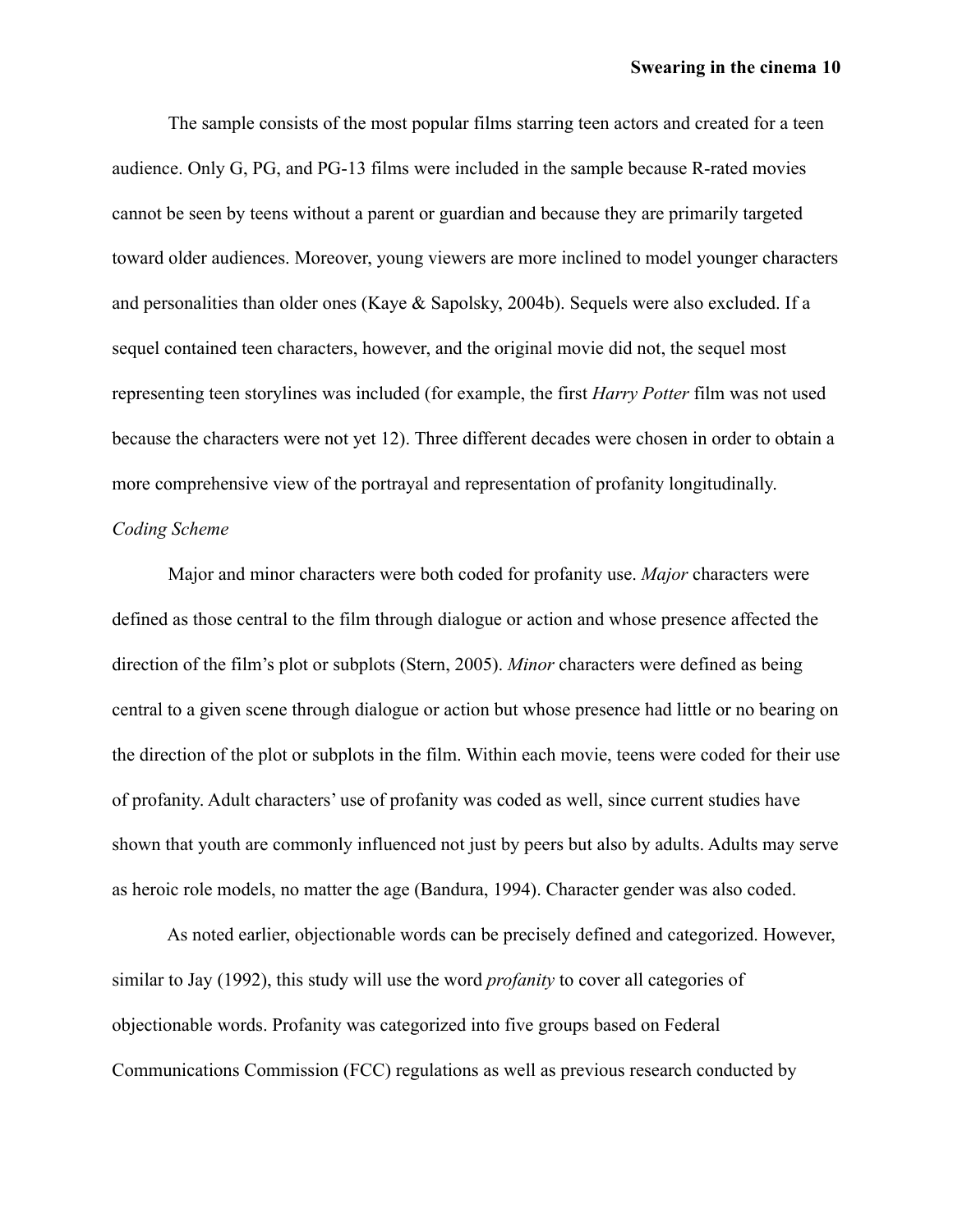The sample consists of the most popular films starring teen actors and created for a teen audience. Only G, PG, and PG-13 films were included in the sample because R-rated movies cannot be seen by teens without a parent or guardian and because they are primarily targeted toward older audiences. Moreover, young viewers are more inclined to model younger characters and personalities than older ones (Kaye & Sapolsky, 2004b). Sequels were also excluded. If a sequel contained teen characters, however, and the original movie did not, the sequel most representing teen storylines was included (for example, the first *Harry Potter* film was not used because the characters were not yet 12). Three different decades were chosen in order to obtain a more comprehensive view of the portrayal and representation of profanity longitudinally.

## *Coding Scheme*

 Major and minor characters were both coded for profanity use. *Major* characters were defined as those central to the film through dialogue or action and whose presence affected the direction of the film's plot or subplots (Stern, 2005). *Minor* characters were defined as being central to a given scene through dialogue or action but whose presence had little or no bearing on the direction of the plot or subplots in the film. Within each movie, teens were coded for their use of profanity. Adult characters' use of profanity was coded as well, since current studies have shown that youth are commonly influenced not just by peers but also by adults. Adults may serve as heroic role models, no matter the age (Bandura, 1994). Character gender was also coded.

 As noted earlier, objectionable words can be precisely defined and categorized. However, similar to Jay (1992), this study will use the word *profanity* to cover all categories of objectionable words. Profanity was categorized into five groups based on Federal Communications Commission (FCC) regulations as well as previous research conducted by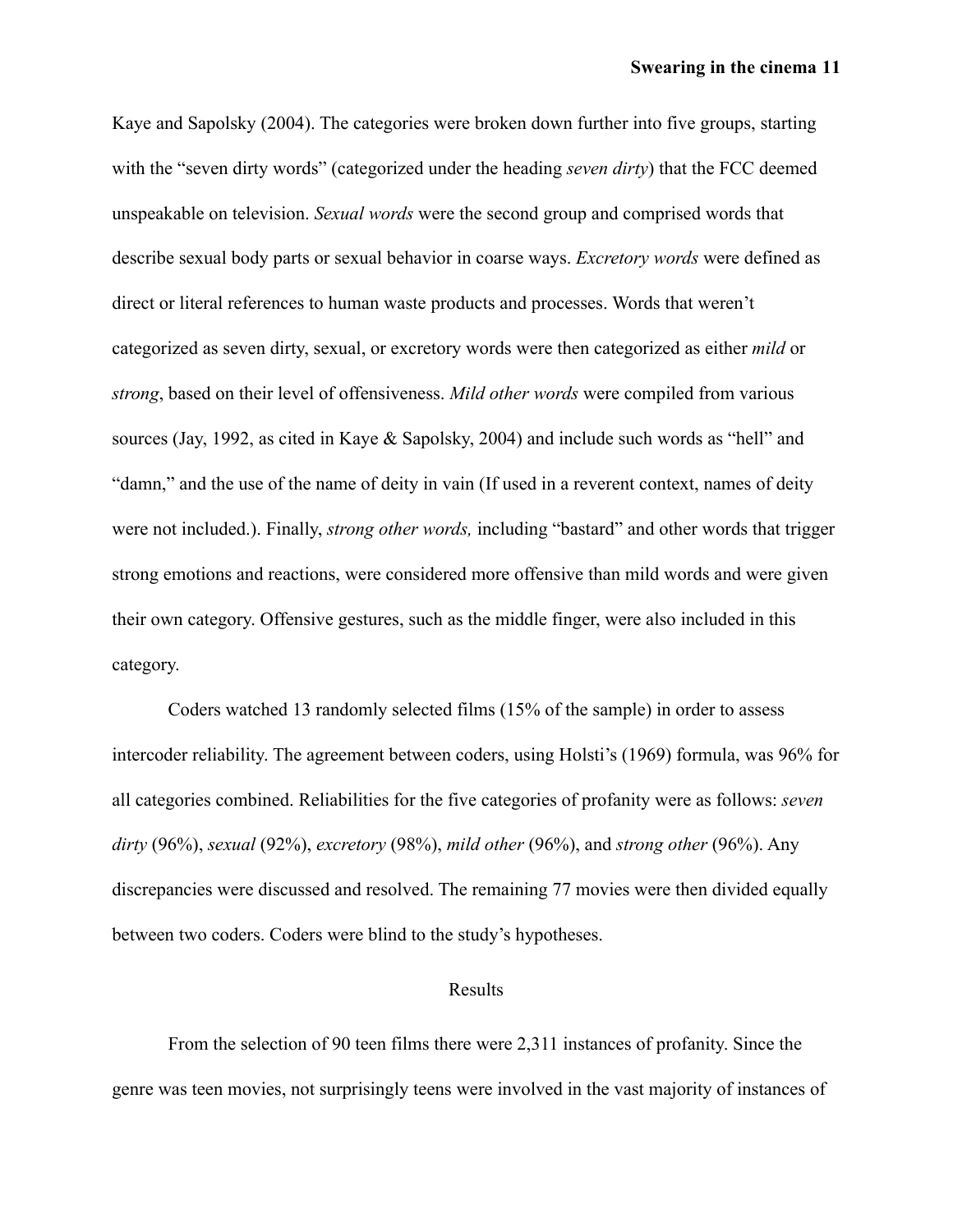Kaye and Sapolsky (2004). The categories were broken down further into five groups, starting with the "seven dirty words" (categorized under the heading *seven dirty*) that the FCC deemed unspeakable on television. *Sexual words* were the second group and comprised words that describe sexual body parts or sexual behavior in coarse ways. *Excretory words* were defined as direct or literal references to human waste products and processes. Words that weren't categorized as seven dirty, sexual, or excretory words were then categorized as either *mild* or *strong*, based on their level of offensiveness. *Mild other words* were compiled from various sources (Jay, 1992, as cited in Kaye & Sapolsky, 2004) and include such words as "hell" and "damn," and the use of the name of deity in vain (If used in a reverent context, names of deity were not included.). Finally, *strong other words,* including "bastard" and other words that trigger strong emotions and reactions, were considered more offensive than mild words and were given their own category. Offensive gestures, such as the middle finger, were also included in this category.

Coders watched 13 randomly selected films (15% of the sample) in order to assess intercoder reliability. The agreement between coders, using Holsti's (1969) formula, was 96% for all categories combined. Reliabilities for the five categories of profanity were as follows: *seven dirty* (96%), *sexual* (92%), *excretory* (98%), *mild other* (96%), and *strong other* (96%). Any discrepancies were discussed and resolved. The remaining 77 movies were then divided equally between two coders. Coders were blind to the study's hypotheses.

#### Results

From the selection of 90 teen films there were 2,311 instances of profanity. Since the genre was teen movies, not surprisingly teens were involved in the vast majority of instances of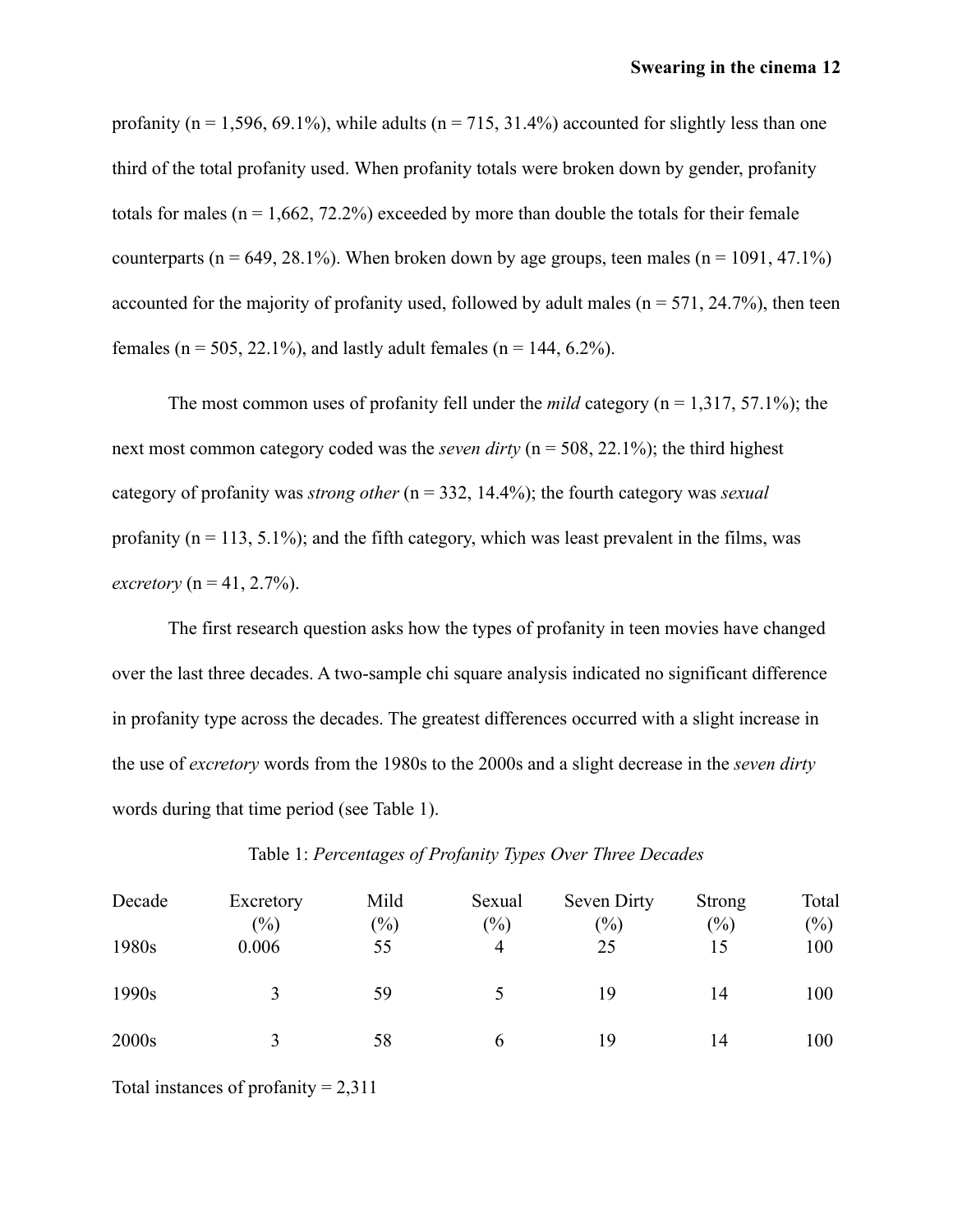profanity ( $n = 1,596, 69.1\%$ ), while adults ( $n = 715, 31.4\%$ ) accounted for slightly less than one third of the total profanity used. When profanity totals were broken down by gender, profanity totals for males ( $n = 1,662, 72.2\%$ ) exceeded by more than double the totals for their female counterparts (n = 649, 28.1%). When broken down by age groups, teen males (n = 1091, 47.1%) accounted for the majority of profanity used, followed by adult males ( $n = 571$ , 24.7%), then teen females ( $n = 505$ , 22.1%), and lastly adult females ( $n = 144$ , 6.2%).

The most common uses of profanity fell under the *mild* category ( $n = 1,317,57.1\%$ ); the next most common category coded was the *seven dirty* (n = 508, 22.1%); the third highest category of profanity was *strong other* (n = 332, 14.4%); the fourth category was *sexual* profanity ( $n = 113, 5.1\%$ ); and the fifth category, which was least prevalent in the films, was *excretory*  $(n = 41, 2.7\%)$ .

The first research question asks how the types of profanity in teen movies have changed over the last three decades. A two-sample chi square analysis indicated no significant difference in profanity type across the decades. The greatest differences occurred with a slight increase in the use of *excretory* words from the 1980s to the 2000s and a slight decrease in the *seven dirty* words during that time period (see Table 1).

|  | Table 1: Percentages of Profanity Types Over Three Decades |  |  |  |
|--|------------------------------------------------------------|--|--|--|
|--|------------------------------------------------------------|--|--|--|

| Decade | Excretory<br>$(\%)$ | Mild<br>$(\%)$ | Sexual<br>$\left(\frac{0}{0}\right)$ | Seven Dirty<br>$(\%)$ | <b>Strong</b><br>$(\%)$ | Total<br>$\frac{6}{2}$ |
|--------|---------------------|----------------|--------------------------------------|-----------------------|-------------------------|------------------------|
| 1980s  | 0.006               | 55             | $\overline{4}$                       | 25                    | 15                      | 100                    |
| 1990s  | $\mathbf 3$         | 59             |                                      | 19                    | 14                      | 100                    |
| 2000s  |                     | 58             | b                                    | 19                    | 14                      | 100                    |

Total instances of profanity  $= 2.311$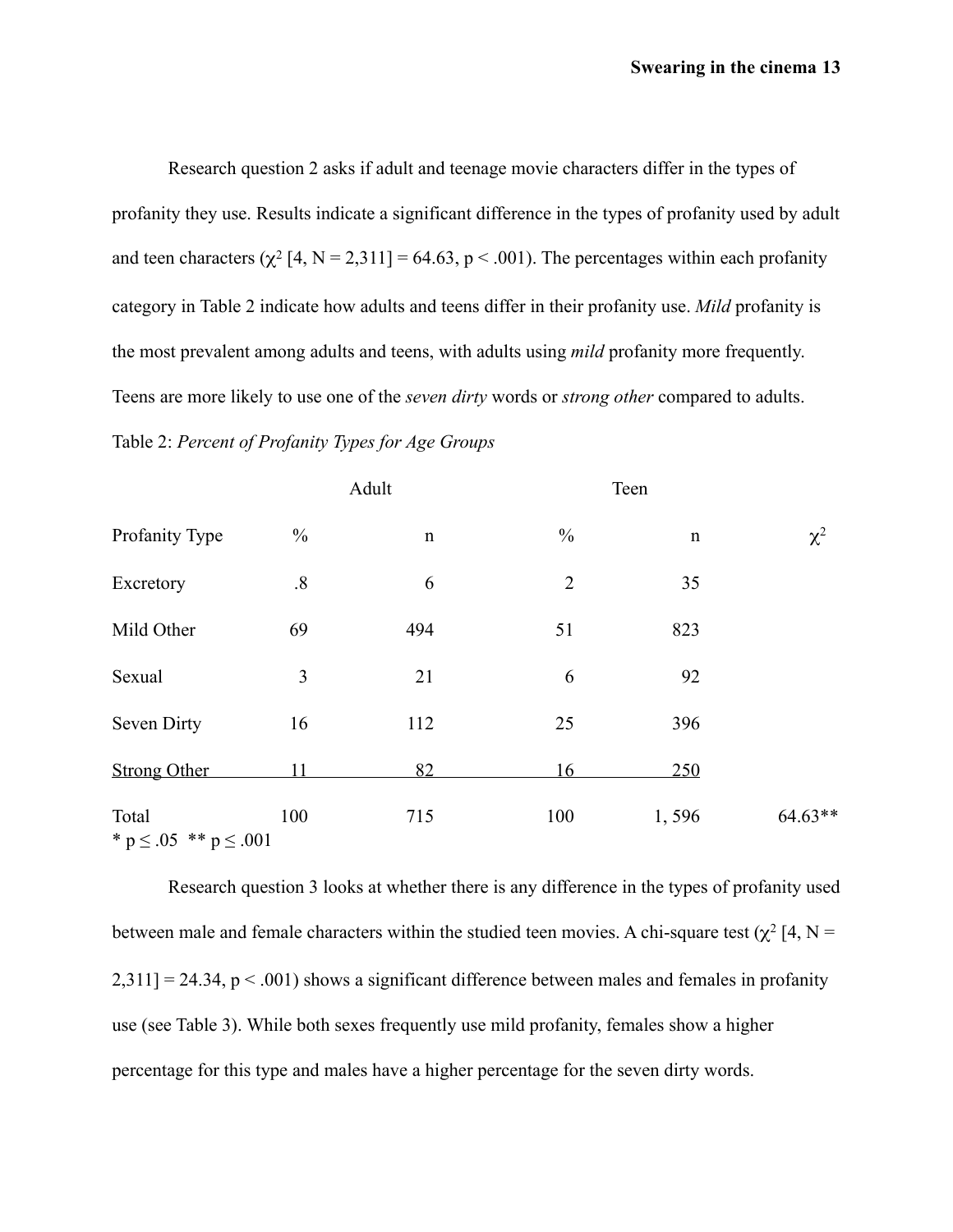Research question 2 asks if adult and teenage movie characters differ in the types of profanity they use. Results indicate a significant difference in the types of profanity used by adult and teen characters ( $\chi^2$  [4, N = 2,311] = 64.63, p < .001). The percentages within each profanity category in Table 2 indicate how adults and teens differ in their profanity use. *Mild* profanity is the most prevalent among adults and teens, with adults using *mild* profanity more frequently. Teens are more likely to use one of the *seven dirty* words or *strong other* compared to adults. Table 2: *Percent of Profanity Types for Age Groups*

|                                          |                   | Adult       |                | Teen        |           |
|------------------------------------------|-------------------|-------------|----------------|-------------|-----------|
| Profanity Type                           | $\frac{0}{0}$     | $\mathbf n$ | $\%$           | $\mathbf n$ | $\chi^2$  |
| Excretory                                | $\boldsymbol{.8}$ | 6           | $\overline{2}$ | 35          |           |
| Mild Other                               | 69                | 494         | 51             | 823         |           |
| Sexual                                   | 3                 | 21          | 6              | 92          |           |
| Seven Dirty                              | 16                | 112         | 25             | 396         |           |
| <b>Strong Other</b>                      | 11                | 82          | 16             | 250         |           |
| Total<br>* $p \leq .05$ ** $p \leq .001$ | 100               | 715         | 100            | 1,596       | $64.63**$ |

Research question 3 looks at whether there is any difference in the types of profanity used between male and female characters within the studied teen movies. A chi-square test ( $\chi^2$  [4, N =  $2,311$ ] = 24.34, p < .001) shows a significant difference between males and females in profanity use (see Table 3). While both sexes frequently use mild profanity, females show a higher percentage for this type and males have a higher percentage for the seven dirty words.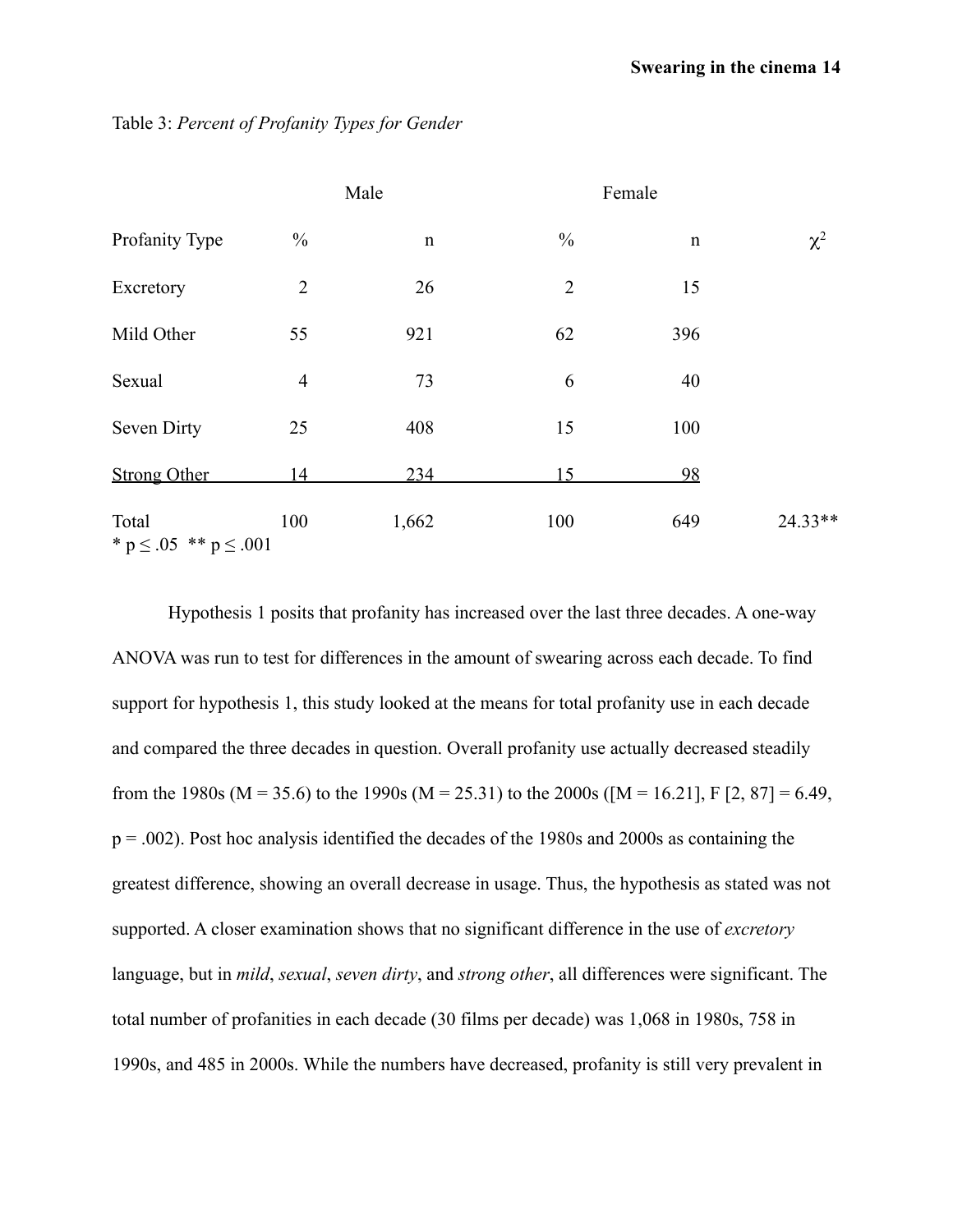|                                          |                | Male        | Female         |             |          |
|------------------------------------------|----------------|-------------|----------------|-------------|----------|
| Profanity Type                           | $\frac{0}{0}$  | $\mathbf n$ | $\frac{0}{0}$  | $\mathbf n$ | $\chi^2$ |
| Excretory                                | $\overline{2}$ | 26          | $\overline{2}$ | 15          |          |
| Mild Other                               | 55             | 921         | 62             | 396         |          |
| Sexual                                   | $\overline{4}$ | 73          | 6              | 40          |          |
| Seven Dirty                              | 25             | 408         | 15             | 100         |          |
| <b>Strong Other</b>                      | 14             | 234         | 15             | 98          |          |
| Total<br>* $p \leq .05$ ** $p \leq .001$ | 100            | 1,662       | 100            | 649         | 24.33**  |

Table 3: *Percent of Profanity Types for Gender*

Hypothesis 1 posits that profanity has increased over the last three decades. A one-way ANOVA was run to test for differences in the amount of swearing across each decade. To find support for hypothesis 1, this study looked at the means for total profanity use in each decade and compared the three decades in question. Overall profanity use actually decreased steadily from the 1980s (M = 35.6) to the 1990s (M = 25.31) to the 2000s ([M = 16.21], F [2, 87] = 6.49,  $p = .002$ ). Post hoc analysis identified the decades of the 1980s and 2000s as containing the greatest difference, showing an overall decrease in usage. Thus, the hypothesis as stated was not supported. A closer examination shows that no significant difference in the use of *excretory* language, but in *mild*, *sexual*, *seven dirty*, and *strong other*, all differences were significant. The total number of profanities in each decade (30 films per decade) was 1,068 in 1980s, 758 in 1990s, and 485 in 2000s. While the numbers have decreased, profanity is still very prevalent in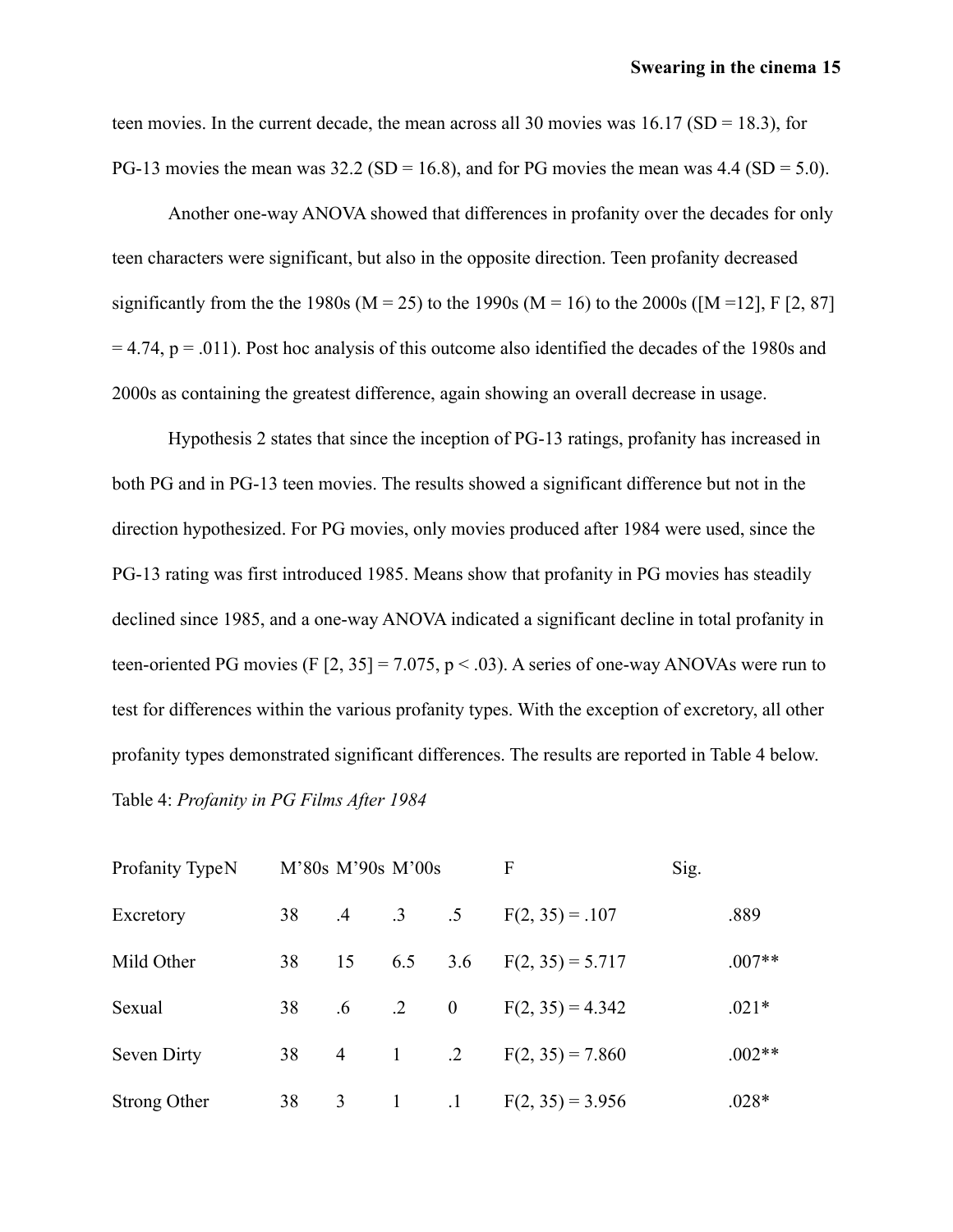teen movies. In the current decade, the mean across all 30 movies was  $16.17 \text{ (SD} = 18.3)$ , for PG-13 movies the mean was  $32.2$  (SD = 16.8), and for PG movies the mean was 4.4 (SD = 5.0).

Another one-way ANOVA showed that differences in profanity over the decades for only teen characters were significant, but also in the opposite direction. Teen profanity decreased significantly from the the 1980s ( $M = 25$ ) to the 1990s ( $M = 16$ ) to the 2000s ( $[M = 12]$ , F  $[2, 87]$  $= 4.74$ ,  $p = .011$ ). Post hoc analysis of this outcome also identified the decades of the 1980s and 2000s as containing the greatest difference, again showing an overall decrease in usage.

Hypothesis 2 states that since the inception of PG-13 ratings, profanity has increased in both PG and in PG-13 teen movies. The results showed a significant difference but not in the direction hypothesized. For PG movies, only movies produced after 1984 were used, since the PG-13 rating was first introduced 1985. Means show that profanity in PG movies has steadily declined since 1985, and a one-way ANOVA indicated a significant decline in total profanity in teen-oriented PG movies (F  $[2, 35] = 7.075$ , p < .03). A series of one-way ANOVAs were run to test for differences within the various profanity types. With the exception of excretory, all other profanity types demonstrated significant differences. The results are reported in Table 4 below. Table 4: *Profanity in PG Films After 1984*

| Profanity TypeN |    | M'80s M'90s M'00s |                 |                | F                      | Sig. |          |
|-----------------|----|-------------------|-----------------|----------------|------------------------|------|----------|
| Excretory       | 38 | $\cdot$ .4        |                 | $.3 \t .5$     | $F(2, 35) = .107$      |      | .889     |
| Mild Other      | 38 | 15                | 6.5             |                | 3.6 $F(2, 35) = 5.717$ |      | $.007**$ |
| Sexual          | 38 | $.6\,$            | $\overline{.2}$ | $\overline{0}$ | $F(2, 35) = 4.342$     |      | $.021*$  |
| Seven Dirty     | 38 | $\overline{4}$    | $\overline{1}$  | $\overline{2}$ | $F(2, 35) = 7.860$     |      | $.002**$ |
| Strong Other    | 38 | 3                 | $\mathbf{1}$    | $\cdot$ 1      | $F(2, 35) = 3.956$     |      | $.028*$  |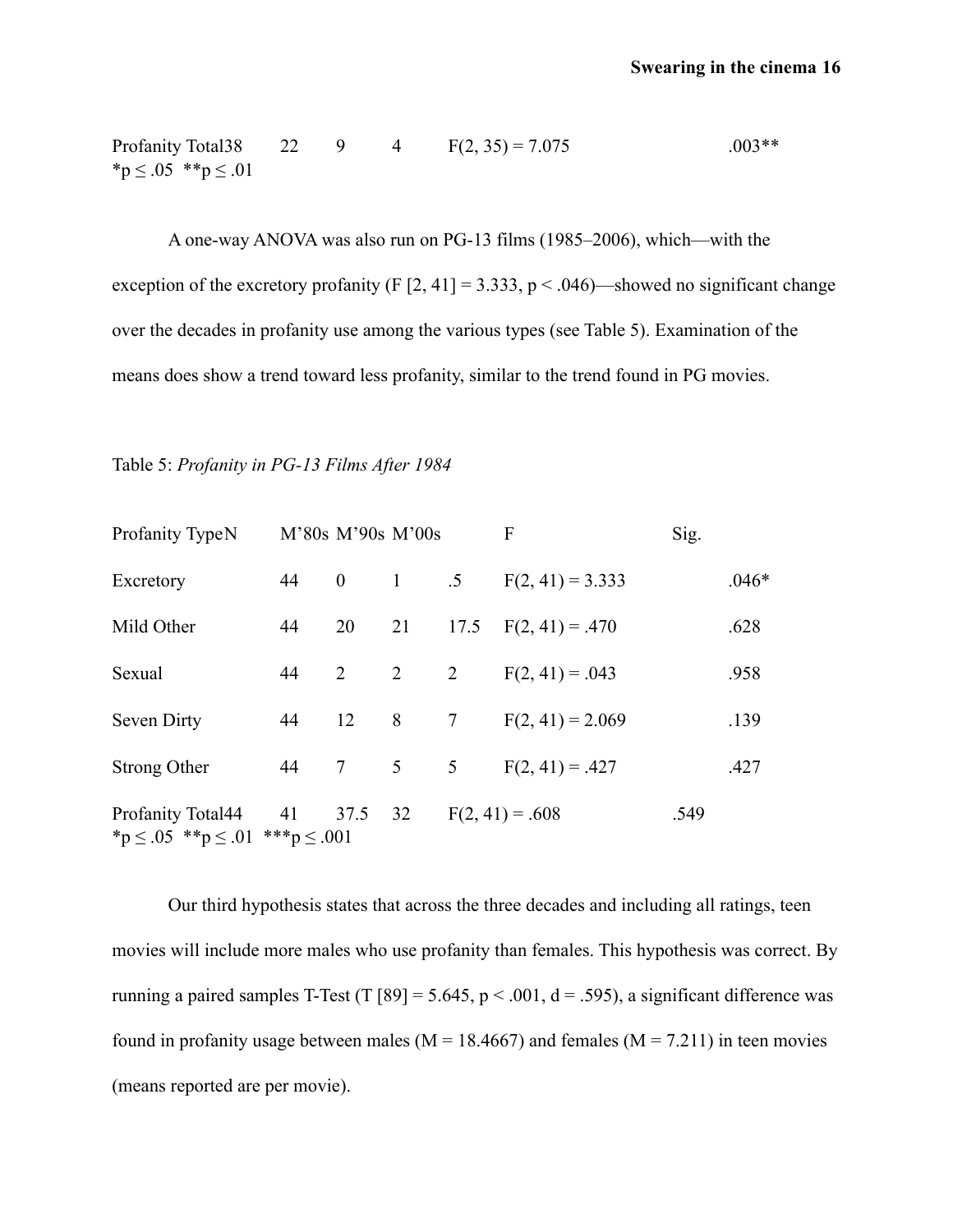Profanity Total 38 22 9 4 F(2, 35) = 7.075 .003\*\* \*p ≤ .05 \*\*p ≤ .01

A one-way ANOVA was also run on PG-13 films (1985–2006), which—with the exception of the excretory profanity (F  $[2, 41] = 3.333$ ,  $p < .046$ )—showed no significant change over the decades in profanity use among the various types (see Table 5). Examination of the means does show a trend toward less profanity, similar to the trend found in PG movies.

Table 5: *Profanity in PG-13 Films After 1984*

| Profanity TypeN                                                                      |    |                | M'80s M'90s M'00s | F                         | Sig. |         |
|--------------------------------------------------------------------------------------|----|----------------|-------------------|---------------------------|------|---------|
| Excretory                                                                            | 44 | $\overline{0}$ |                   | 1 .5 $F(2, 41) = 3.333$   |      | $.046*$ |
| Mild Other                                                                           | 44 | 20             | 21                | 17.5 $F(2, 41) = .470$    |      | .628    |
| Sexual                                                                               | 44 | 2              | 2 $2$             | $F(2, 41) = .043$         |      | .958    |
| Seven Dirty                                                                          | 44 |                |                   | 12 8 7 $F(2, 41) = 2.069$ |      | .139    |
| Strong Other                                                                         | 44 |                |                   | 7 5 5 $F(2, 41) = .427$   |      | .427    |
| Profanity Total 44 41 37.5 32<br>* $p \leq 0.05$ ** $p \leq 0.01$ *** $p \leq 0.001$ |    |                |                   | $F(2, 41) = .608$         | .549 |         |

Our third hypothesis states that across the three decades and including all ratings, teen movies will include more males who use profanity than females. This hypothesis was correct. By running a paired samples T-Test (T [89] = 5.645,  $p < .001$ ,  $d = .595$ ), a significant difference was found in profanity usage between males ( $M = 18.4667$ ) and females ( $M = 7.211$ ) in teen movies (means reported are per movie).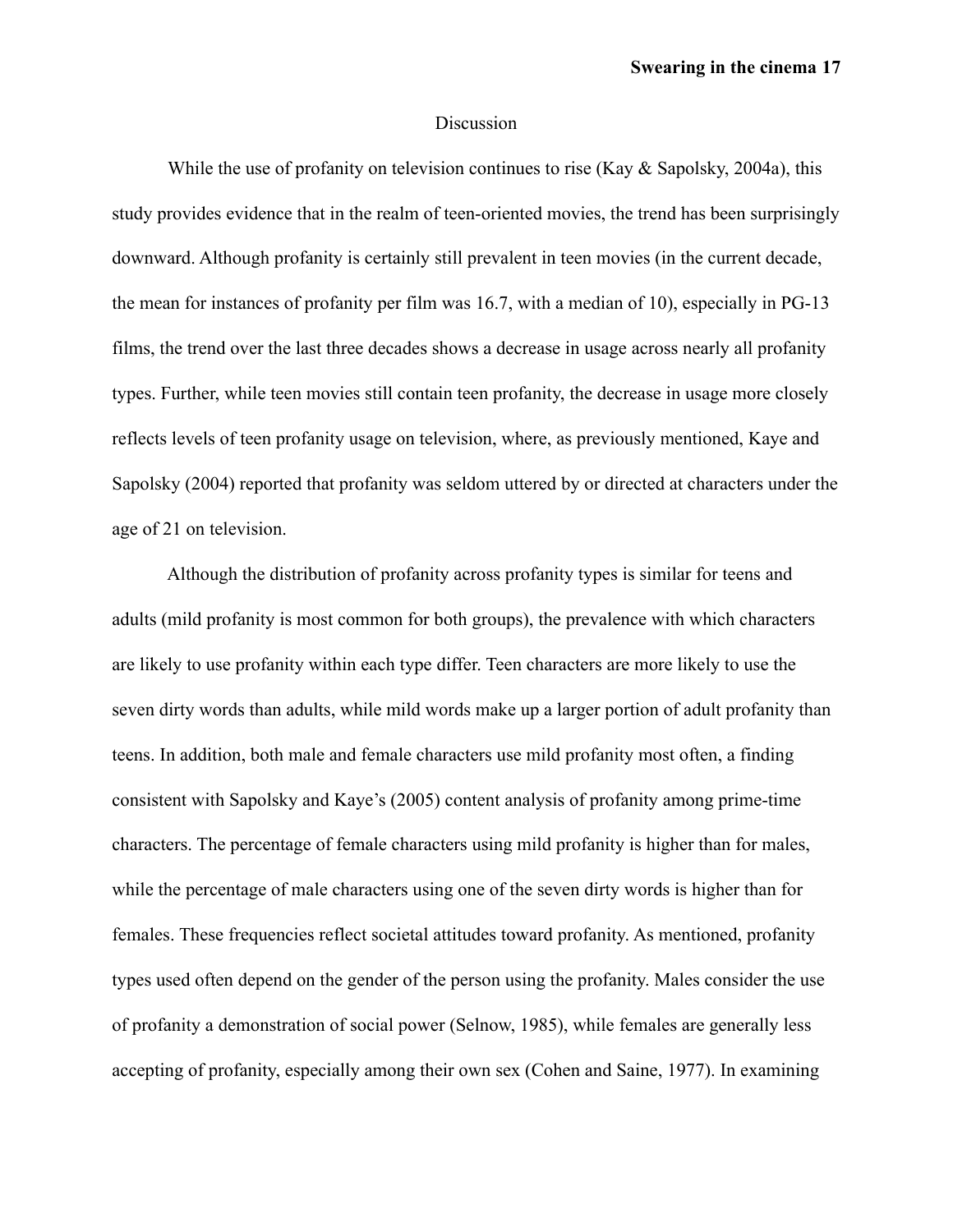## Discussion

While the use of profanity on television continues to rise (Kay  $\&$  Sapolsky, 2004a), this study provides evidence that in the realm of teen-oriented movies, the trend has been surprisingly downward. Although profanity is certainly still prevalent in teen movies (in the current decade, the mean for instances of profanity per film was 16.7, with a median of 10), especially in PG-13 films, the trend over the last three decades shows a decrease in usage across nearly all profanity types. Further, while teen movies still contain teen profanity, the decrease in usage more closely reflects levels of teen profanity usage on television, where, as previously mentioned, Kaye and Sapolsky (2004) reported that profanity was seldom uttered by or directed at characters under the age of 21 on television.

 Although the distribution of profanity across profanity types is similar for teens and adults (mild profanity is most common for both groups), the prevalence with which characters are likely to use profanity within each type differ. Teen characters are more likely to use the seven dirty words than adults, while mild words make up a larger portion of adult profanity than teens. In addition, both male and female characters use mild profanity most often, a finding consistent with Sapolsky and Kaye's (2005) content analysis of profanity among prime-time characters. The percentage of female characters using mild profanity is higher than for males, while the percentage of male characters using one of the seven dirty words is higher than for females. These frequencies reflect societal attitudes toward profanity. As mentioned, profanity types used often depend on the gender of the person using the profanity. Males consider the use of profanity a demonstration of social power (Selnow, 1985), while females are generally less accepting of profanity, especially among their own sex (Cohen and Saine, 1977). In examining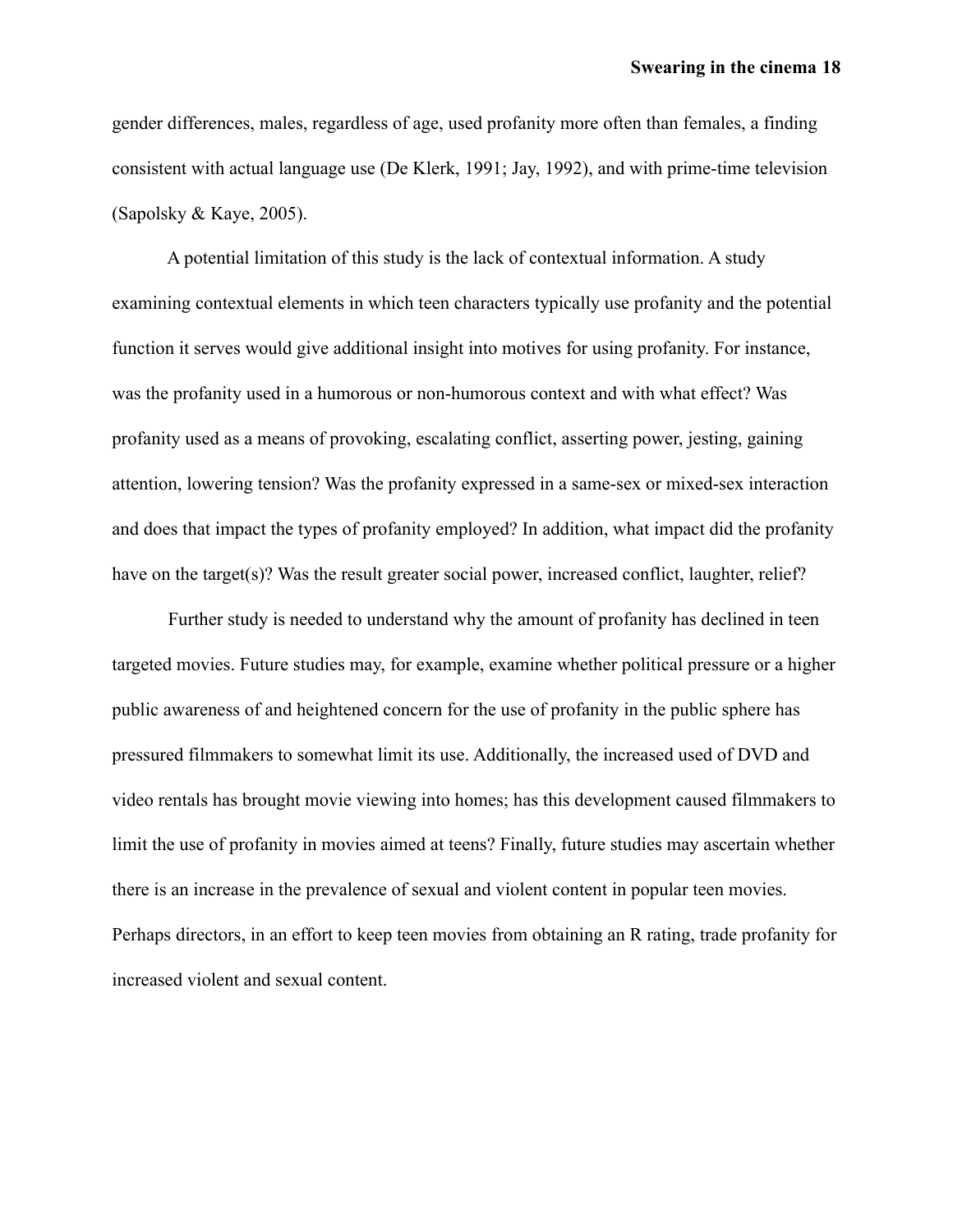gender differences, males, regardless of age, used profanity more often than females, a finding consistent with actual language use (De Klerk, 1991; Jay, 1992), and with prime-time television (Sapolsky & Kaye, 2005).

 A potential limitation of this study is the lack of contextual information. A study examining contextual elements in which teen characters typically use profanity and the potential function it serves would give additional insight into motives for using profanity. For instance, was the profanity used in a humorous or non-humorous context and with what effect? Was profanity used as a means of provoking, escalating conflict, asserting power, jesting, gaining attention, lowering tension? Was the profanity expressed in a same-sex or mixed-sex interaction and does that impact the types of profanity employed? In addition, what impact did the profanity have on the target(s)? Was the result greater social power, increased conflict, laughter, relief?

 Further study is needed to understand why the amount of profanity has declined in teen targeted movies. Future studies may, for example, examine whether political pressure or a higher public awareness of and heightened concern for the use of profanity in the public sphere has pressured filmmakers to somewhat limit its use. Additionally, the increased used of DVD and video rentals has brought movie viewing into homes; has this development caused filmmakers to limit the use of profanity in movies aimed at teens? Finally, future studies may ascertain whether there is an increase in the prevalence of sexual and violent content in popular teen movies. Perhaps directors, in an effort to keep teen movies from obtaining an R rating, trade profanity for increased violent and sexual content.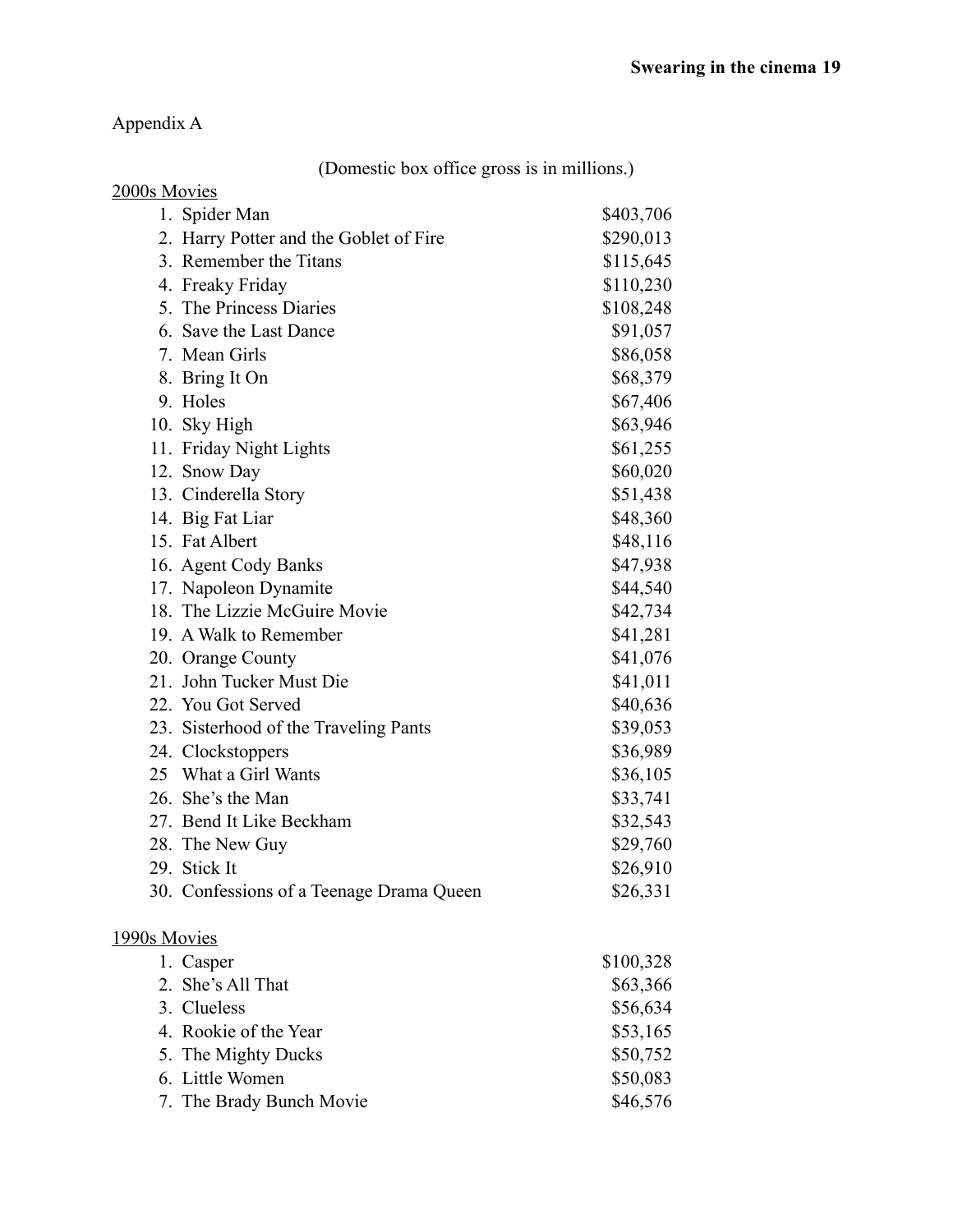## Appendix A

## (Domestic box office gross is in millions.)

| 2000s Movies | (DUTICSITY OUT OFFICE $g$ 1033 13 111 11111110113.) |           |
|--------------|-----------------------------------------------------|-----------|
|              | 1. Spider Man                                       | \$403,706 |
|              | 2. Harry Potter and the Goblet of Fire              | \$290,013 |
|              | 3. Remember the Titans                              | \$115,645 |
|              | 4. Freaky Friday                                    | \$110,230 |
|              | 5. The Princess Diaries                             |           |
|              | 6. Save the Last Dance                              | \$108,248 |
|              |                                                     | \$91,057  |
|              | 7. Mean Girls                                       | \$86,058  |
|              | 8. Bring It On                                      | \$68,379  |
|              | 9. Holes                                            | \$67,406  |
|              | 10. Sky High                                        | \$63,946  |
|              | 11. Friday Night Lights                             | \$61,255  |
|              | 12. Snow Day                                        | \$60,020  |
|              | 13. Cinderella Story                                | \$51,438  |
|              | 14. Big Fat Liar                                    | \$48,360  |
|              | 15. Fat Albert                                      | \$48,116  |
|              | 16. Agent Cody Banks                                | \$47,938  |
|              | 17. Napoleon Dynamite                               | \$44,540  |
|              | 18. The Lizzie McGuire Movie                        | \$42,734  |
|              | 19. A Walk to Remember                              | \$41,281  |
|              | 20. Orange County                                   | \$41,076  |
|              | 21. John Tucker Must Die                            | \$41,011  |
|              | 22. You Got Served                                  | \$40,636  |
|              | 23. Sisterhood of the Traveling Pants               | \$39,053  |
|              | 24. Clockstoppers                                   | \$36,989  |
|              | 25 What a Girl Wants                                | \$36,105  |
|              | 26. She's the Man                                   | \$33,741  |
|              | 27. Bend It Like Beckham                            | \$32,543  |
|              | 28. The New Guy                                     | \$29,760  |
|              | 29. Stick It                                        | \$26,910  |
|              | 30. Confessions of a Teenage Drama Queen            | \$26,331  |
| 1990s Movies |                                                     |           |
|              | 1. Casper                                           | \$100,328 |
|              | 2. She's All That                                   | \$63,366  |
|              | 3. Clueless                                         | \$56,634  |
|              | 4. Rookie of the Year                               | \$53,165  |
|              | 5. The Mighty Ducks                                 | \$50,752  |
|              | 6. Little Women                                     | \$50,083  |
|              | 7. The Brady Bunch Movie                            | \$46,576  |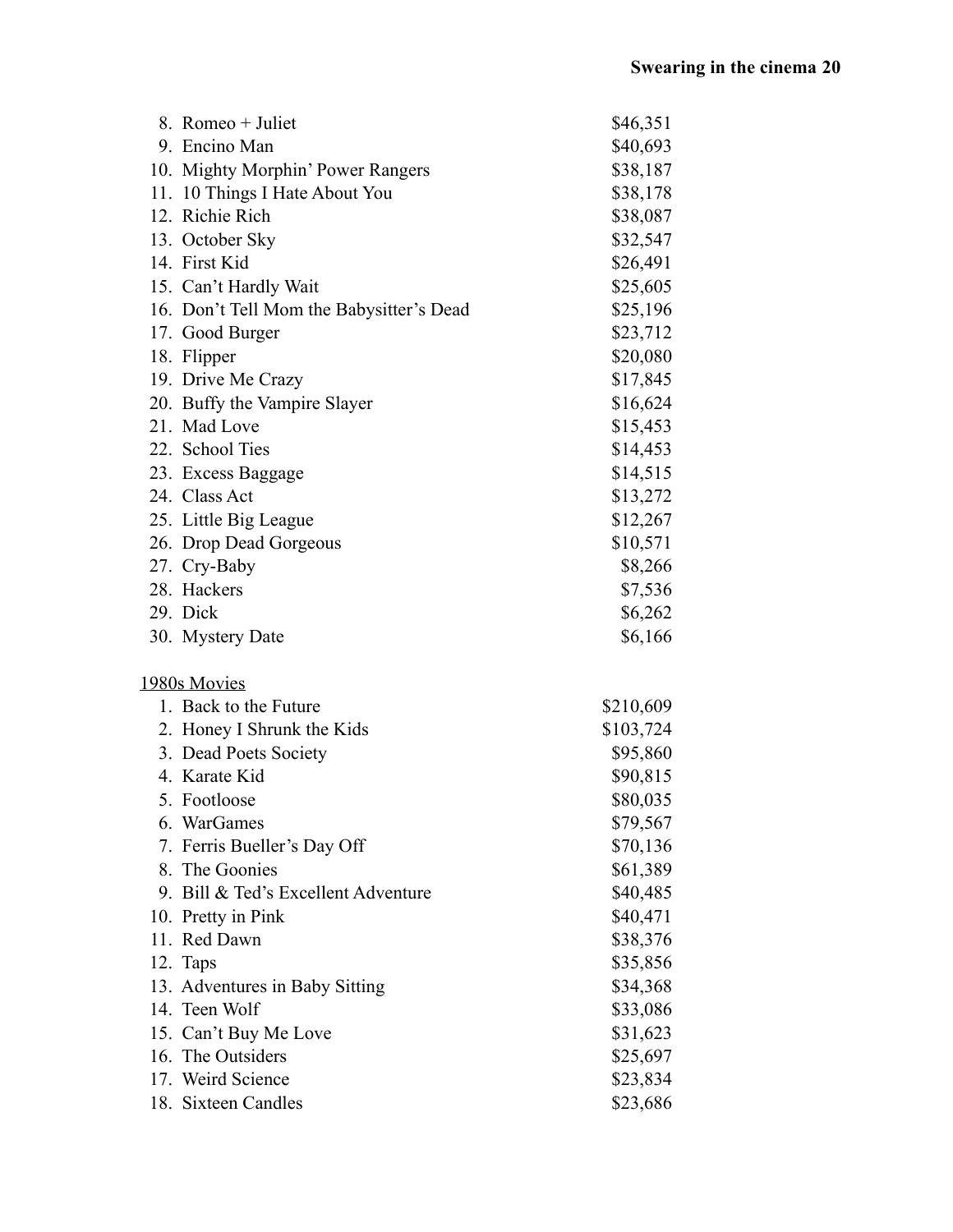| 8. Romeo + Juliet                        | \$46,351  |
|------------------------------------------|-----------|
| 9. Encino Man                            | \$40,693  |
| 10. Mighty Morphin' Power Rangers        | \$38,187  |
| 11. 10 Things I Hate About You           | \$38,178  |
| 12. Richie Rich                          | \$38,087  |
| 13. October Sky                          | \$32,547  |
| 14. First Kid                            | \$26,491  |
| 15. Can't Hardly Wait                    | \$25,605  |
| 16. Don't Tell Mom the Babysitter's Dead | \$25,196  |
| 17. Good Burger                          | \$23,712  |
| 18. Flipper                              | \$20,080  |
| 19. Drive Me Crazy                       | \$17,845  |
| 20. Buffy the Vampire Slayer             | \$16,624  |
| 21. Mad Love                             | \$15,453  |
| 22. School Ties                          | \$14,453  |
| 23. Excess Baggage                       | \$14,515  |
| 24. Class Act                            | \$13,272  |
| 25. Little Big League                    | \$12,267  |
| 26. Drop Dead Gorgeous                   | \$10,571  |
| 27. Cry-Baby                             | \$8,266   |
| 28. Hackers                              | \$7,536   |
| 29. Dick                                 | \$6,262   |
| 30. Mystery Date                         | \$6,166   |
| 1980s Movies                             |           |
| 1. Back to the Future                    | \$210,609 |
| 2. Honey I Shrunk the Kids               | \$103,724 |
| 3. Dead Poets Society                    | \$95,860  |
| 4. Karate Kid                            | \$90,815  |
| 5. Footloose                             | \$80,035  |
| 6. WarGames                              | \$79,567  |
| 7. Ferris Bueller's Day Off              | \$70,136  |
| 8. The Goonies                           | \$61,389  |
| 9. Bill & Ted's Excellent Adventure      | \$40,485  |
| 10. Pretty in Pink                       | \$40,471  |
| 11. Red Dawn                             | \$38,376  |
| 12. Taps                                 | \$35,856  |
| 13. Adventures in Baby Sitting           | \$34,368  |
| 14. Teen Wolf                            | \$33,086  |
| 15. Can't Buy Me Love                    | \$31,623  |
| 16. The Outsiders                        | \$25,697  |
| 17. Weird Science                        | \$23,834  |
| 18. Sixteen Candles                      | \$23,686  |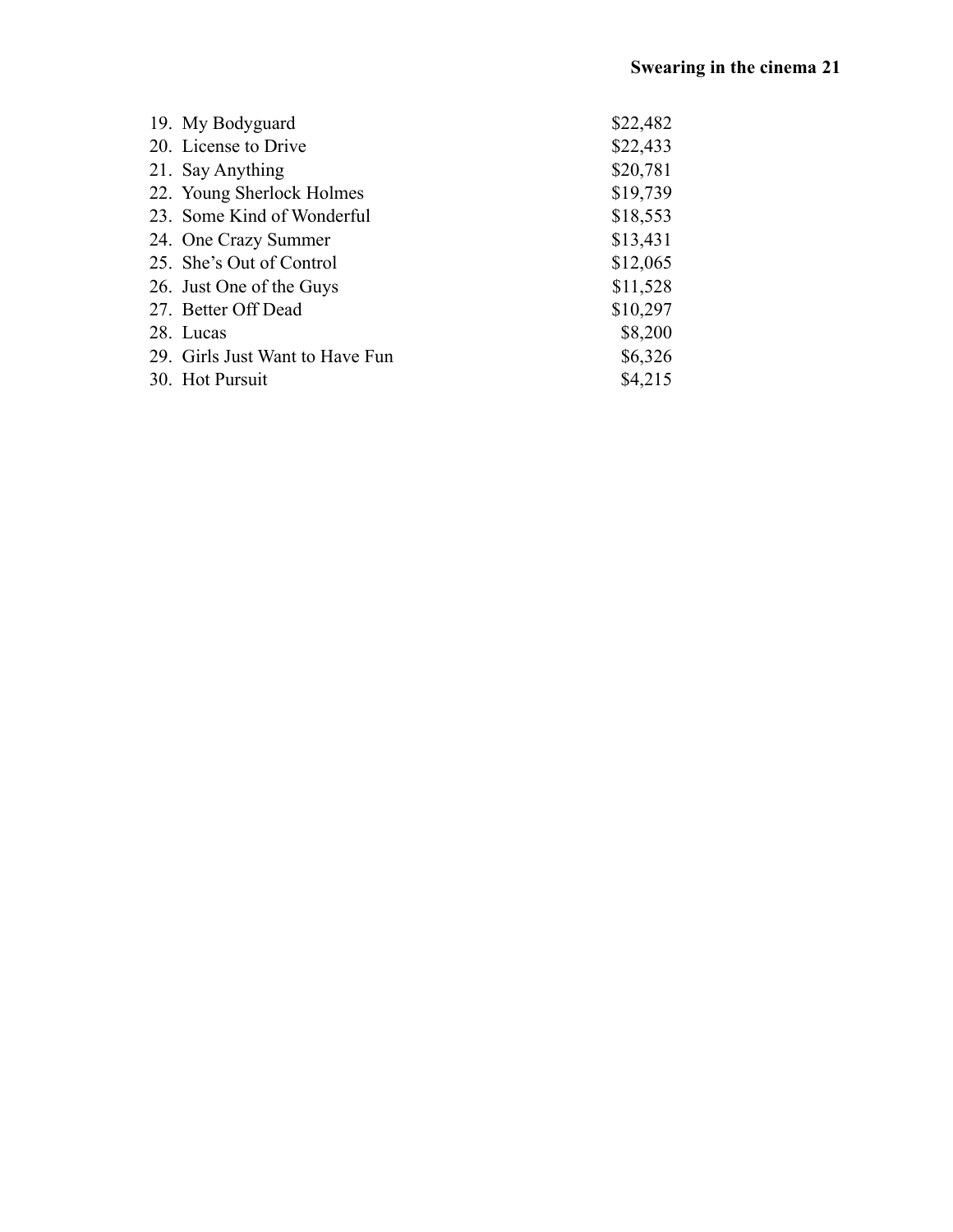| 19. My Bodyguard                | \$22,482 |
|---------------------------------|----------|
| 20. License to Drive            | \$22,433 |
| 21. Say Anything                | \$20,781 |
| 22. Young Sherlock Holmes       | \$19,739 |
| 23. Some Kind of Wonderful      | \$18,553 |
| 24. One Crazy Summer            | \$13,431 |
| 25. She's Out of Control        | \$12,065 |
| 26. Just One of the Guys        | \$11,528 |
| 27. Better Off Dead             | \$10,297 |
| 28. Lucas                       | \$8,200  |
| 29. Girls Just Want to Have Fun | \$6,326  |
| 30. Hot Pursuit                 | \$4,215  |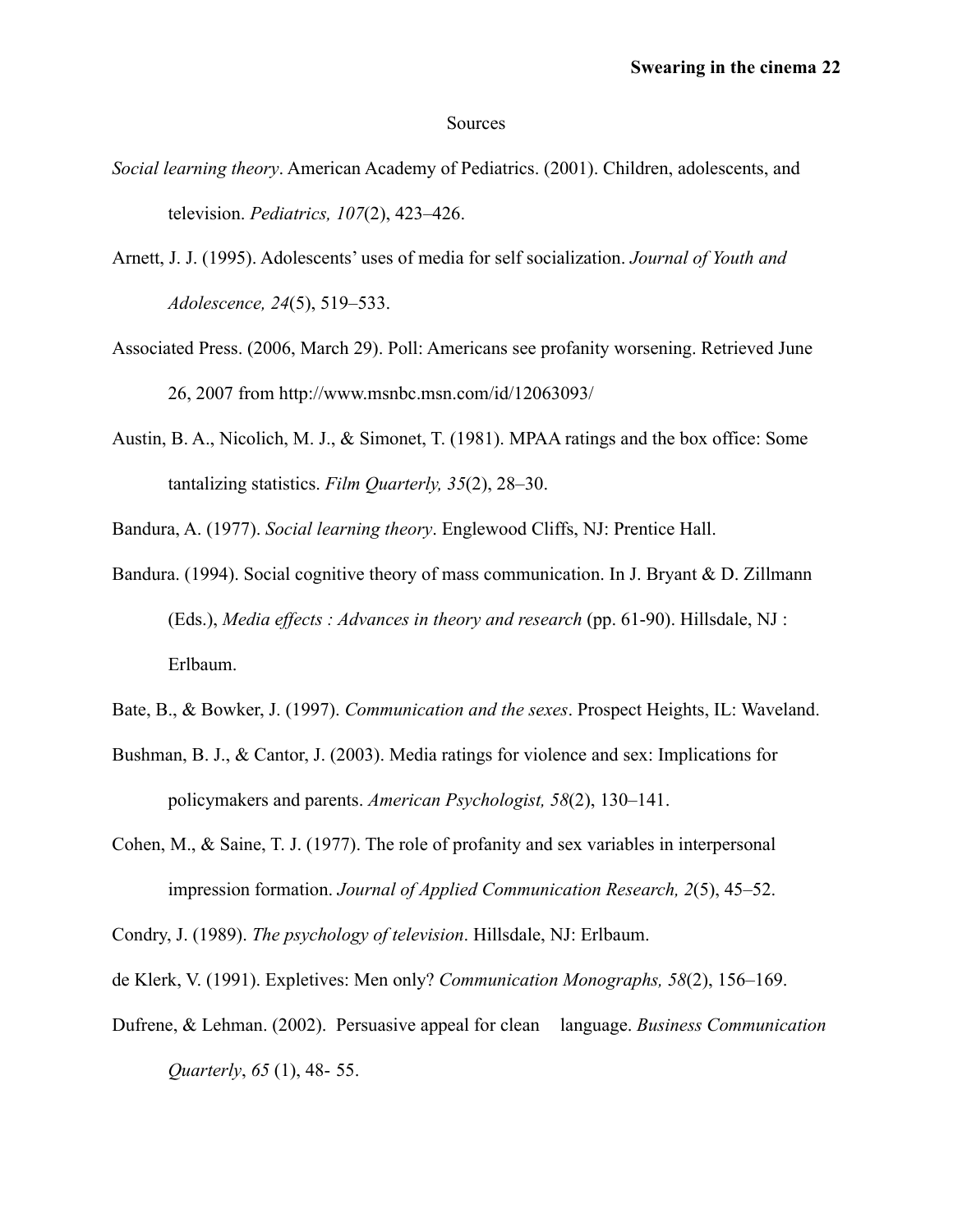#### Sources

- *Social learning theory*. American Academy of Pediatrics. (2001). Children, adolescents, and television. *Pediatrics, 107*(2), 423–426.
- Arnett, J. J. (1995). Adolescents' uses of media for self socialization. *Journal of Youth and Adolescence, 24*(5), 519–533.
- Associated Press. (2006, March 29). Poll: Americans see profanity worsening. Retrieved June 26, 2007 from http://www.msnbc.msn.com/id/12063093/
- Austin, B. A., Nicolich, M. J., & Simonet, T. (1981). MPAA ratings and the box office: Some tantalizing statistics. *Film Quarterly, 35*(2), 28–30.
- Bandura, A. (1977). *Social learning theory*. Englewood Cliffs, NJ: Prentice Hall.
- Bandura. (1994). Social cognitive theory of mass communication. In J. Bryant & D. Zillmann (Eds.), *Media effects : Advances in theory and research* (pp. 61-90). Hillsdale, NJ : Erlbaum.
- Bate, B., & Bowker, J. (1997). *Communication and the sexes*. Prospect Heights, IL: Waveland.
- Bushman, B. J., & Cantor, J. (2003). Media ratings for violence and sex: Implications for policymakers and parents. *American Psychologist, 58*(2), 130–141.
- Cohen, M., & Saine, T. J. (1977). The role of profanity and sex variables in interpersonal impression formation. *Journal of Applied Communication Research, 2*(5), 45–52.

Condry, J. (1989). *The psychology of television*. Hillsdale, NJ: Erlbaum.

de Klerk, V. (1991). Expletives: Men only? *Communication Monographs, 58*(2), 156–169.

Dufrene, & Lehman. (2002). Persuasive appeal for clean language. *Business Communication Quarterly*, *65* (1), 48- 55.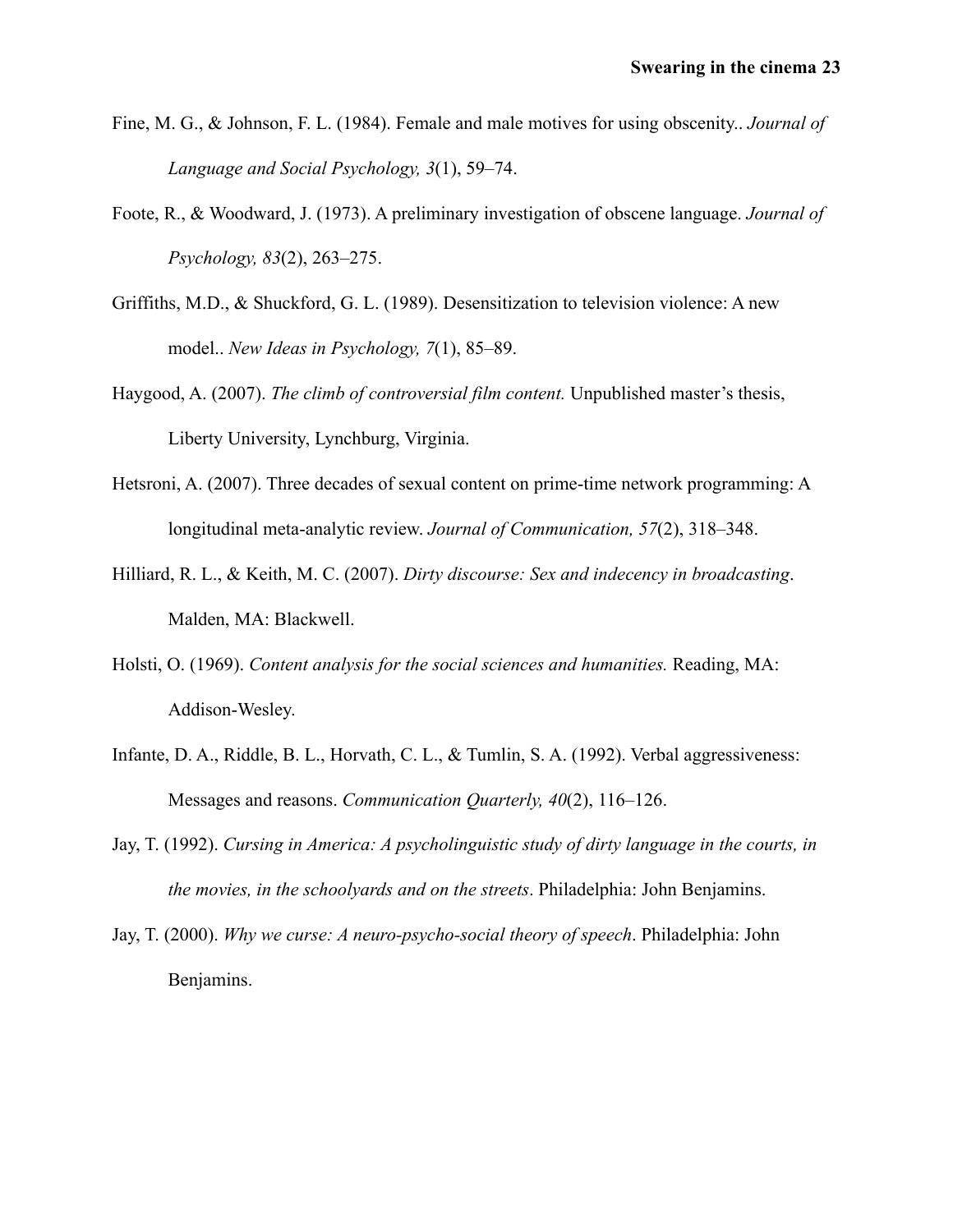- Fine, M. G., & Johnson, F. L. (1984). Female and male motives for using obscenity.. *Journal of Language and Social Psychology, 3*(1), 59–74.
- Foote, R., & Woodward, J. (1973). A preliminary investigation of obscene language. *Journal of Psychology, 83*(2), 263–275.
- Griffiths, M.D., & Shuckford, G. L. (1989). Desensitization to television violence: A new model.. *New Ideas in Psychology, 7*(1), 85–89.
- Haygood, A. (2007). *The climb of controversial film content.* Unpublished master's thesis, Liberty University, Lynchburg, Virginia.
- Hetsroni, A. (2007). Three decades of sexual content on prime-time network programming: A longitudinal meta-analytic review. *Journal of Communication, 57*(2), 318–348.
- Hilliard, R. L., & Keith, M. C. (2007). *Dirty discourse: Sex and indecency in broadcasting*. Malden, MA: Blackwell.
- Holsti, O. (1969). *Content analysis for the social sciences and humanities.* Reading, MA: Addison-Wesley.
- Infante, D. A., Riddle, B. L., Horvath, C. L., & Tumlin, S. A. (1992). Verbal aggressiveness: Messages and reasons. *Communication Quarterly, 40*(2), 116–126.
- Jay, T. (1992). *Cursing in America: A psycholinguistic study of dirty language in the courts, in the movies, in the schoolyards and on the streets*. Philadelphia: John Benjamins.
- Jay, T. (2000). *Why we curse: A neuro-psycho-social theory of speech*. Philadelphia: John Benjamins.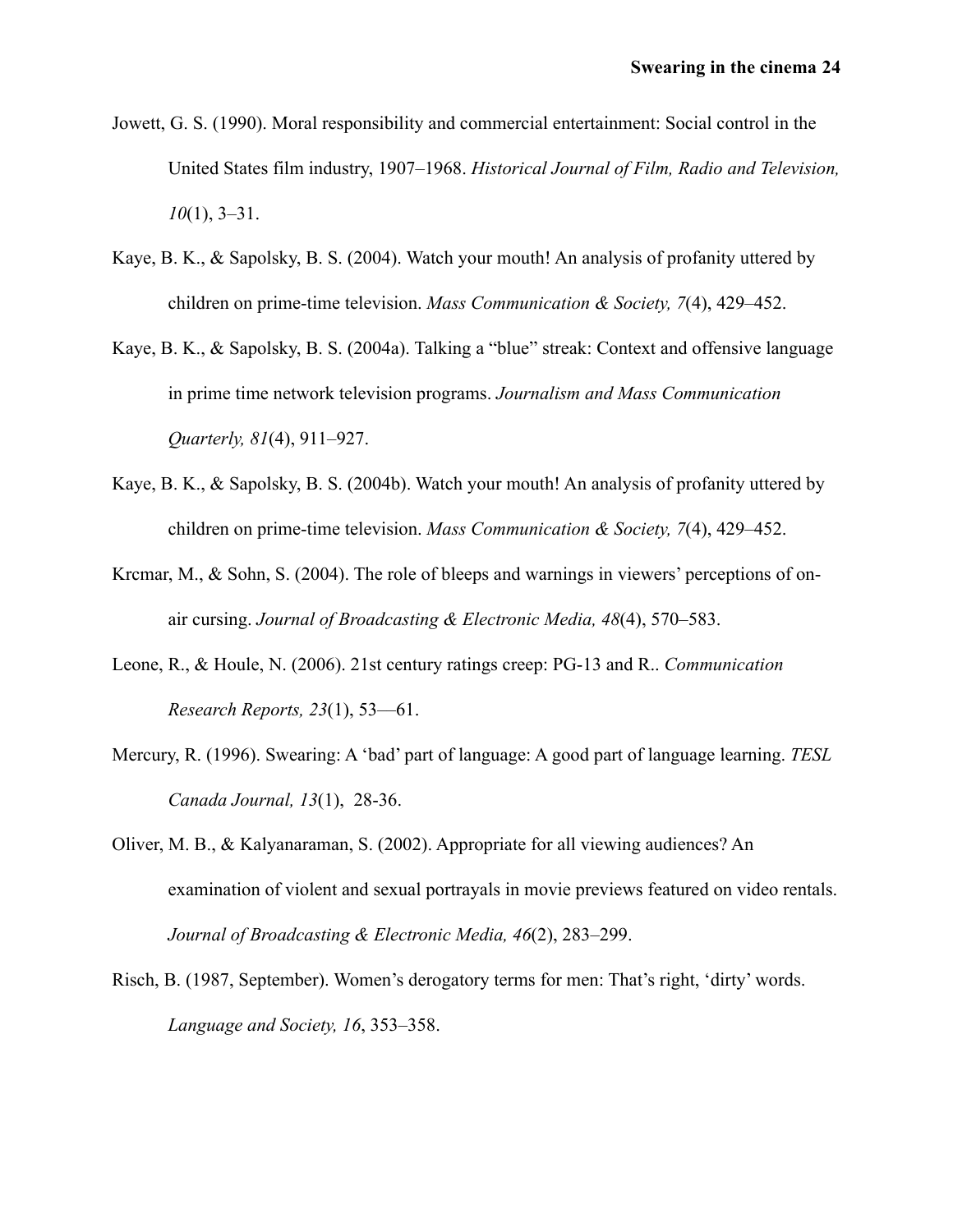- Jowett, G. S. (1990). Moral responsibility and commercial entertainment: Social control in the United States film industry, 1907–1968. *Historical Journal of Film, Radio and Television, 10*(1), 3–31.
- Kaye, B. K., & Sapolsky, B. S. (2004). Watch your mouth! An analysis of profanity uttered by children on prime-time television. *Mass Communication & Society, 7*(4), 429–452.
- Kaye, B. K., & Sapolsky, B. S. (2004a). Talking a "blue" streak: Context and offensive language in prime time network television programs. *Journalism and Mass Communication Quarterly, 81*(4), 911–927.
- Kaye, B. K., & Sapolsky, B. S. (2004b). Watch your mouth! An analysis of profanity uttered by children on prime-time television. *Mass Communication & Society, 7*(4), 429–452.
- Krcmar, M., & Sohn, S. (2004). The role of bleeps and warnings in viewers' perceptions of onair cursing. *Journal of Broadcasting & Electronic Media, 48*(4), 570–583.
- Leone, R., & Houle, N. (2006). 21st century ratings creep: PG-13 and R.. *Communication Research Reports, 23*(1), 53––61.
- Mercury, R. (1996). Swearing: A 'bad' part of language: A good part of language learning. *TESL Canada Journal, 13*(1), 28-36.
- Oliver, M. B., & Kalyanaraman, S. (2002). Appropriate for all viewing audiences? An examination of violent and sexual portrayals in movie previews featured on video rentals. *Journal of Broadcasting & Electronic Media, 46*(2), 283–299.
- Risch, B. (1987, September). Women's derogatory terms for men: That's right, 'dirty' words. *Language and Society, 16*, 353–358.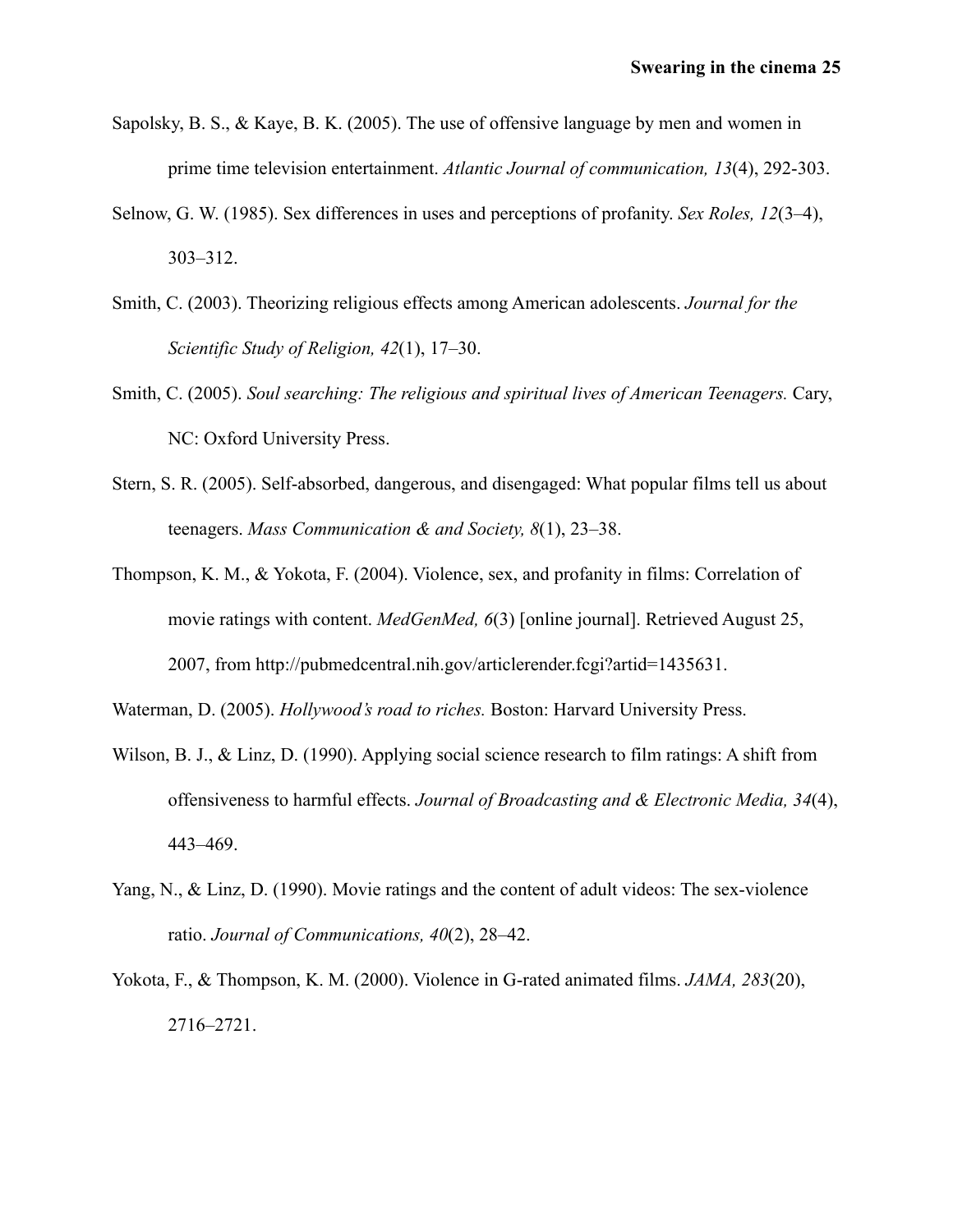- Sapolsky, B. S., & Kaye, B. K. (2005). The use of offensive language by men and women in prime time television entertainment. *Atlantic Journal of communication, 13*(4), 292-303.
- Selnow, G. W. (1985). Sex differences in uses and perceptions of profanity. *Sex Roles, 12*(3–4), 303–312.
- Smith, C. (2003). Theorizing religious effects among American adolescents. *Journal for the Scientific Study of Religion, 42*(1), 17–30.
- Smith, C. (2005). *Soul searching: The religious and spiritual lives of American Teenagers.* Cary, NC: Oxford University Press.
- Stern, S. R. (2005). Self-absorbed, dangerous, and disengaged: What popular films tell us about teenagers. *Mass Communication & and Society, 8*(1), 23–38.
- Thompson, K. M., & Yokota, F. (2004). Violence, sex, and profanity in films: Correlation of movie ratings with content. *MedGenMed, 6*(3) [online journal]. Retrieved August 25, 2007, from http://pubmedcentral.nih.gov/articlerender.fcgi?artid=1435631.

Waterman, D. (2005). *Hollywood's road to riches.* Boston: Harvard University Press.

- Wilson, B. J., & Linz, D. (1990). Applying social science research to film ratings: A shift from offensiveness to harmful effects. *Journal of Broadcasting and & Electronic Media, 34*(4), 443–469.
- Yang, N., & Linz, D. (1990). Movie ratings and the content of adult videos: The sex-violence ratio. *Journal of Communications, 40*(2), 28–42.
- Yokota, F., & Thompson, K. M. (2000). Violence in G-rated animated films. *JAMA, 283*(20), 2716–2721.